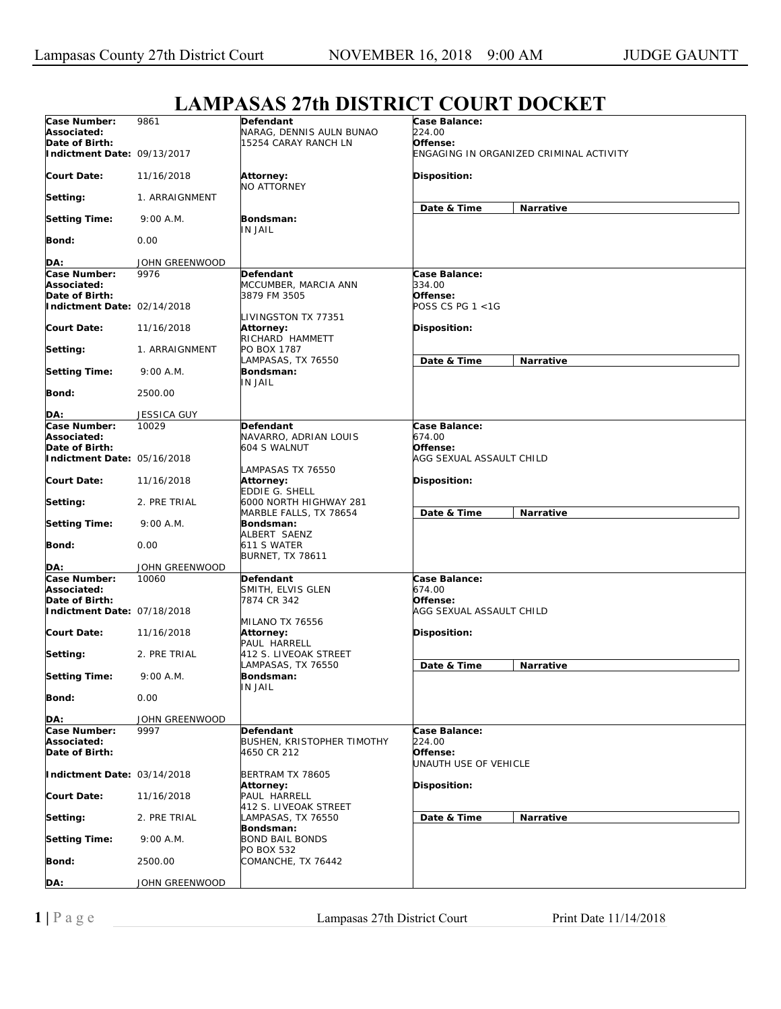## **LAMPASAS 27th DISTRICT COURT DOCKET**

| Case Number:<br>Associated:<br>Date of Birth:<br>Indictment Date: 09/13/2017 | 9861               | Defendant<br>NARAG, DENNIS AULN BUNAO<br>15254 CARAY RANCH LN | Case Balance:<br>224.00<br>Offense:<br>ENGAGING IN ORGANIZED CRIMINAL ACTIVITY |  |
|------------------------------------------------------------------------------|--------------------|---------------------------------------------------------------|--------------------------------------------------------------------------------|--|
| <b>Court Date:</b>                                                           | 11/16/2018         | Attorney:                                                     | Disposition:                                                                   |  |
| Setting:                                                                     | 1. ARRAIGNMENT     | NO ATTORNEY                                                   |                                                                                |  |
| <b>Setting Time:</b>                                                         | 9:00 A.M.          | Bondsman:<br><b>IN JAIL</b>                                   | Date & Time<br>Narrative                                                       |  |
| Bond:                                                                        | 0.00               |                                                               |                                                                                |  |
| DA:                                                                          | JOHN GREENWOOD     |                                                               |                                                                                |  |
| Case Number:                                                                 | 9976               | Defendant                                                     | Case Balance:                                                                  |  |
| Associated:                                                                  |                    | MCCUMBER, MARCIA ANN                                          | 334.00                                                                         |  |
| Date of Birth:<br>Indictment Date: 02/14/2018                                |                    | 3879 FM 3505                                                  | Offense:<br>POSS CS PG $1 < 1$ G                                               |  |
| Court Date:                                                                  | 11/16/2018         | LIVINGSTON TX 77351<br>Attorney:<br>RICHARD HAMMETT           | Disposition:                                                                   |  |
| Setting:                                                                     | 1. ARRAIGNMENT     | PO BOX 1787<br>LAMPASAS, TX 76550                             | Date & Time<br>Narrative                                                       |  |
| <b>Setting Time:</b>                                                         | 9:00 A.M.          | Bondsman:<br><b>IN JAIL</b>                                   |                                                                                |  |
| Bond:                                                                        | 2500.00            |                                                               |                                                                                |  |
| DA:                                                                          | <b>JESSICA GUY</b> |                                                               |                                                                                |  |
| Case Number:                                                                 | 10029              | Defendant                                                     | Case Balance:                                                                  |  |
| Associated:                                                                  |                    | NAVARRO, ADRIAN LOUIS                                         | 674.00                                                                         |  |
| Date of Birth:<br>Indictment Date: 05/16/2018                                |                    | 604 S WALNUT                                                  | Offense:<br>AGG SEXUAL ASSAULT CHILD                                           |  |
|                                                                              |                    | LAMPASAS TX 76550                                             |                                                                                |  |
| Court Date:                                                                  | 11/16/2018         | Attorney:<br>EDDIE G. SHELL                                   | Disposition:                                                                   |  |
| Setting:                                                                     | 2. PRE TRIAL       | 6000 NORTH HIGHWAY 281<br>MARBLE FALLS, TX 78654              | Date & Time<br><b>Narrative</b>                                                |  |
| <b>Setting Time:</b>                                                         | 9:00 A.M.          | Bondsman:                                                     |                                                                                |  |
| Bond:                                                                        | 0.00               | ALBERT SAENZ<br>611 S WATER<br><b>BURNET, TX 78611</b>        |                                                                                |  |
| DA:                                                                          | JOHN GREENWOOD     |                                                               |                                                                                |  |
| Case Number:                                                                 | 10060              | <b>Defendant</b>                                              | Case Balance:                                                                  |  |
| Associated:                                                                  |                    | SMITH, ELVIS GLEN                                             | 674.00                                                                         |  |
| Date of Birth:                                                               |                    | 7874 CR 342                                                   | Offense:                                                                       |  |
| Indictment Date: 07/18/2018                                                  |                    |                                                               | AGG SEXUAL ASSAULT CHILD                                                       |  |
| Court Date:                                                                  | 11/16/2018         | MILANO TX 76556<br>Attorney:<br>PAUL HARRELL                  | Disposition:                                                                   |  |
| Setting:                                                                     | 2. PRE TRIAL       | 412 S. LIVEOAK STREET<br>LAMPASAS, TX 76550                   | Date & Time<br>Narrative                                                       |  |
| <b>Setting Time:</b>                                                         | 9:00 A.M.          | Bondsman:<br><b>IN JAIL</b>                                   |                                                                                |  |
| <b>Bond:</b>                                                                 | 0.00               |                                                               |                                                                                |  |
| DA:                                                                          | JOHN GREENWOOD     |                                                               |                                                                                |  |
| Case Number:                                                                 | 9997               | Defendant                                                     | Case Balance:                                                                  |  |
| Associated:<br>Date of Birth:                                                |                    | <b>BUSHEN, KRISTOPHER TIMOTHY</b><br>4650 CR 212              | 224.00<br>Offense:<br>UNAUTH USE OF VEHICLE                                    |  |
| Indictment Date: 03/14/2018                                                  |                    | BERTRAM TX 78605<br>Attorney:                                 | Disposition:                                                                   |  |
| <b>Court Date:</b>                                                           | 11/16/2018         | PAUL HARRELL<br>412 S. LIVEOAK STREET                         |                                                                                |  |
| Setting:                                                                     | 2. PRE TRIAL       | LAMPASAS, TX 76550<br>Bondsman:                               | Date & Time<br>Narrative                                                       |  |
| <b>Setting Time:</b>                                                         | 9:00 A.M.          | <b>BOND BAIL BONDS</b><br>PO BOX 532                          |                                                                                |  |
| Bond:                                                                        | 2500.00            | COMANCHE, TX 76442                                            |                                                                                |  |
| DA:                                                                          | JOHN GREENWOOD     |                                                               |                                                                                |  |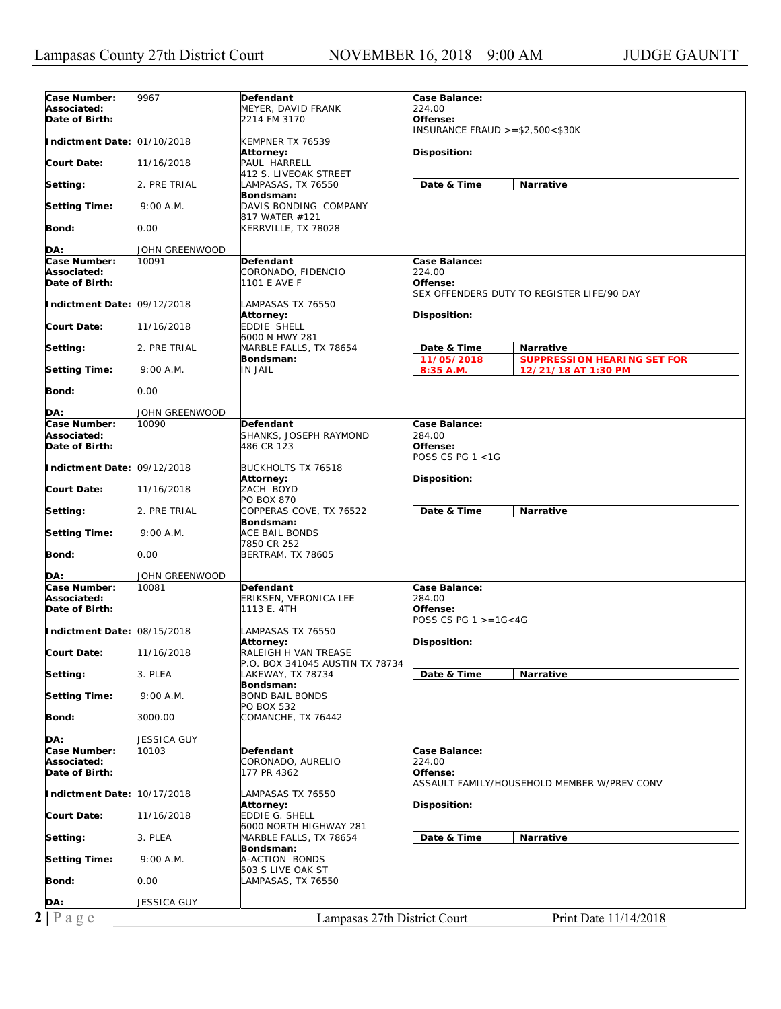| Case Number:                | 9967               | Defendant                       | Case Balance:                       |                                             |
|-----------------------------|--------------------|---------------------------------|-------------------------------------|---------------------------------------------|
| Associated:                 |                    | MEYER, DAVID FRANK              | 224.00                              |                                             |
| Date of Birth:              |                    | 2214 FM 3170                    | Offense:                            |                                             |
|                             |                    |                                 |                                     |                                             |
|                             |                    |                                 | $INSURANCE FRAUD > = $2,500 < $30K$ |                                             |
| Indictment Date: 01/10/2018 |                    | KEMPNER TX 76539                |                                     |                                             |
|                             |                    | Attorney:                       | Disposition:                        |                                             |
|                             |                    |                                 |                                     |                                             |
| Court Date:                 | 11/16/2018         | PAUL HARRELL                    |                                     |                                             |
|                             |                    | 412 S. LIVEOAK STREET           |                                     |                                             |
| Setting:                    | 2. PRE TRIAL       | LAMPASAS, TX 76550              | Date & Time                         | Narrative                                   |
|                             |                    |                                 |                                     |                                             |
|                             |                    | Bondsman:                       |                                     |                                             |
| <b>Setting Time:</b>        | 9:00 A.M.          | DAVIS BONDING COMPANY           |                                     |                                             |
|                             |                    | 817 WATER #121                  |                                     |                                             |
| Bond:                       | 0.00               | KERRVILLE, TX 78028             |                                     |                                             |
|                             |                    |                                 |                                     |                                             |
|                             |                    |                                 |                                     |                                             |
| DA:                         | JOHN GREENWOOD     |                                 |                                     |                                             |
| Case Number:                | 10091              | <b>Defendant</b>                | Case Balance:                       |                                             |
|                             |                    |                                 |                                     |                                             |
| Associated:                 |                    | CORONADO, FIDENCIO              | 224.00                              |                                             |
| Date of Birth:              |                    | 1101 E AVE F                    | Offense:                            |                                             |
|                             |                    |                                 |                                     | SEX OFFENDERS DUTY TO REGISTER LIFE/90 DAY  |
|                             |                    |                                 |                                     |                                             |
| Indictment Date: 09/12/2018 |                    | LAMPASAS TX 76550               |                                     |                                             |
|                             |                    | Attorney:                       | Disposition:                        |                                             |
| Court Date:                 | 11/16/2018         | EDDIE SHELL                     |                                     |                                             |
|                             |                    |                                 |                                     |                                             |
|                             |                    | 6000 N HWY 281                  |                                     |                                             |
| Setting:                    | 2. PRE TRIAL       | MARBLE FALLS, TX 78654          | Date & Time                         | Narrative                                   |
|                             |                    | Bondsman:                       | 11/05/2018                          | <b>SUPPRESSION HEARING SET FOR</b>          |
|                             |                    |                                 |                                     |                                             |
| <b>Setting Time:</b>        | 9:00 A.M.          | IN JAIL                         | 8:35 A.M.                           | 12/21/18 AT 1:30 PM                         |
|                             |                    |                                 |                                     |                                             |
| Bond:                       | 0.00               |                                 |                                     |                                             |
|                             |                    |                                 |                                     |                                             |
|                             |                    |                                 |                                     |                                             |
| DA:                         | JOHN GREENWOOD     |                                 |                                     |                                             |
| Case Number:                | 10090              | <b>Defendant</b>                | Case Balance:                       |                                             |
| Associated:                 |                    | SHANKS, JOSEPH RAYMOND          | 284.00                              |                                             |
|                             |                    |                                 |                                     |                                             |
| Date of Birth:              |                    | 486 CR 123                      | Offense:                            |                                             |
|                             |                    |                                 | POSS CS PG 1 <1G                    |                                             |
| Indictment Date: 09/12/2018 |                    | <b>BUCKHOLTS TX 76518</b>       |                                     |                                             |
|                             |                    |                                 |                                     |                                             |
|                             |                    | Attorney:                       | Disposition:                        |                                             |
| Court Date:                 | 11/16/2018         | ZACH BOYD                       |                                     |                                             |
|                             |                    | PO BOX 870                      |                                     |                                             |
| Setting:                    | 2. PRE TRIAL       | COPPERAS COVE, TX 76522         | Date & Time                         | <b>Narrative</b>                            |
|                             |                    |                                 |                                     |                                             |
|                             |                    | Bondsman:                       |                                     |                                             |
| <b>Setting Time:</b>        | 9:00 A.M.          | ACE BAIL BONDS                  |                                     |                                             |
|                             |                    | 7850 CR 252                     |                                     |                                             |
|                             |                    |                                 |                                     |                                             |
| Bond:                       | 0.00               | <b>BERTRAM, TX 78605</b>        |                                     |                                             |
|                             |                    |                                 |                                     |                                             |
| DA:                         |                    |                                 |                                     |                                             |
|                             |                    |                                 |                                     |                                             |
|                             | JOHN GREENWOOD     |                                 |                                     |                                             |
| Case Number:                | 10081              | Defendant                       | Case Balance:                       |                                             |
| Associated:                 |                    | ERIKSEN, VERONICA LEE           | 284.00                              |                                             |
| Date of Birth:              |                    | 1113 E. 4TH                     | Offense:                            |                                             |
|                             |                    |                                 |                                     |                                             |
|                             |                    |                                 | POSS CS PG $1 > = 16 < 4G$          |                                             |
| Indictment Date: 08/15/2018 |                    | LAMPASAS TX 76550               |                                     |                                             |
|                             |                    | Attorney:                       | Disposition:                        |                                             |
|                             |                    |                                 |                                     |                                             |
| <b>Court Date:</b>          | 11/16/2018         | RALEIGH H VAN TREASE            |                                     |                                             |
|                             |                    | P.O. BOX 341045 AUSTIN TX 78734 |                                     |                                             |
| Setting:                    | 3. PLEA            | LAKEWAY, TX 78734               | Date & Time                         | Narrative                                   |
|                             |                    |                                 |                                     |                                             |
|                             |                    | Bondsman:                       |                                     |                                             |
| <b>Setting Time:</b>        | 9:00 A.M.          | <b>BOND BAIL BONDS</b>          |                                     |                                             |
|                             |                    | PO BOX 532                      |                                     |                                             |
| <b>Bond:</b>                | 3000.00            | COMANCHE, TX 76442              |                                     |                                             |
|                             |                    |                                 |                                     |                                             |
|                             |                    |                                 |                                     |                                             |
| DA:                         | JESSICA GUY        |                                 |                                     |                                             |
| Case Number:                | 10103              | Defendant                       | Case Balance:                       |                                             |
|                             |                    |                                 |                                     |                                             |
| Associated:                 |                    | CORONADO, AURELIO               | 224.00                              |                                             |
| Date of Birth:              |                    | 177 PR 4362                     | Offense:                            |                                             |
|                             |                    |                                 |                                     | ASSAULT FAMILY/HOUSEHOLD MEMBER W/PREV CONV |
|                             |                    |                                 |                                     |                                             |
| Indictment Date: 10/17/2018 |                    | LAMPASAS TX 76550               |                                     |                                             |
|                             |                    | Attorney:                       | Disposition:                        |                                             |
| Court Date:                 | 11/16/2018         | EDDIE G. SHELL                  |                                     |                                             |
|                             |                    | 6000 NORTH HIGHWAY 281          |                                     |                                             |
|                             |                    |                                 |                                     |                                             |
| Setting:                    | 3. PLEA            | MARBLE FALLS, TX 78654          | Date & Time                         | Narrative                                   |
|                             |                    | Bondsman:                       |                                     |                                             |
| <b>Setting Time:</b>        | 9:00 A.M.          | A-ACTION BONDS                  |                                     |                                             |
|                             |                    |                                 |                                     |                                             |
|                             |                    | 503 S LIVE OAK ST               |                                     |                                             |
| Bond:                       | 0.00               | LAMPASAS, TX 76550              |                                     |                                             |
|                             |                    |                                 |                                     |                                             |
|                             |                    |                                 |                                     |                                             |
| DA:                         | <b>JESSICA GUY</b> |                                 |                                     |                                             |
| $2 P \text{ age}$           |                    | Lampasas 27th District Court    |                                     | Print Date 11/14/2018                       |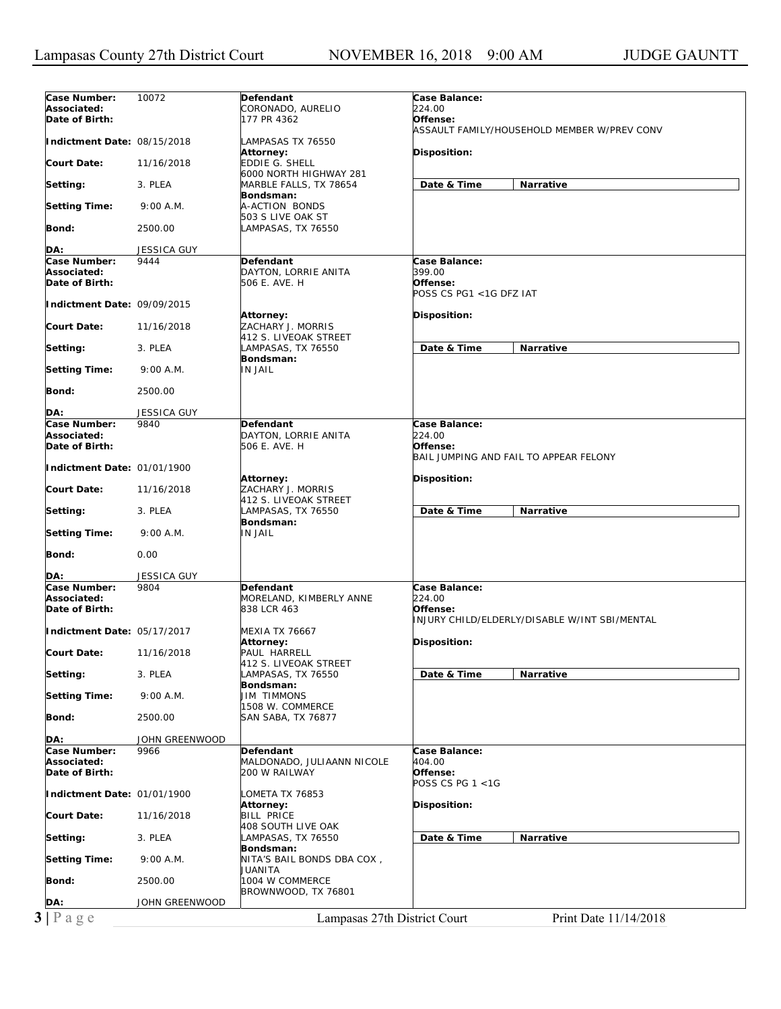| Date of Birth:<br>Offense:<br>177 PR 4362<br>ASSAULT FAMILY/HOUSEHOLD MEMBER W/PREV CONV<br>Indictment Date: 08/15/2018<br>LAMPASAS TX 76550<br><b>Attorney:</b><br>Disposition:<br>Court Date:<br><b>EDDIE G. SHELL</b><br>11/16/2018<br>6000 NORTH HIGHWAY 281<br>Date & Time<br>Narrative<br>Setting:<br>3. PLEA<br>MARBLE FALLS, TX 78654<br>Bondsman:<br>A-ACTION BONDS<br><b>Setting Time:</b><br>9:00 A.M.<br>503 S LIVE OAK ST<br>Bond:<br>2500.00<br>LAMPASAS, TX 76550<br><b>JESSICA GUY</b><br>DA:<br>Case Number:<br>Case Balance:<br>9444<br><b>Defendant</b><br>DAYTON, LORRIE ANITA<br>399.00<br>Associated:<br>Date of Birth:<br>Offense:<br>506 E. AVE. H<br>POSS CS PG1 <1G DFZ IAT<br>Indictment Date: 09/09/2015<br><b>Disposition:</b><br>Attorney:<br>Court Date:<br>11/16/2018<br>ZACHARY J. MORRIS<br>412 S. LIVEOAK STREET<br>Date & Time<br><b>Narrative</b><br>Setting:<br>3. PLEA<br>LAMPASAS, TX 76550<br>Bondsman:<br>IN JAIL<br><b>Setting Time:</b><br>9:00 A.M.<br>Bond:<br>2500.00<br>DA:<br><b>JESSICA GUY</b><br>Case Number:<br>Case Balance:<br>9840<br>Defendant<br>Associated:<br>DAYTON, LORRIE ANITA<br>224.00<br>506 E. AVE. H<br>Offense:<br>Date of Birth:<br>BAIL JUMPING AND FAIL TO APPEAR FELONY<br>Indictment Date: 01/01/1900<br><b>Disposition:</b><br>Attorney:<br>ZACHARY J. MORRIS<br>Court Date:<br>11/16/2018<br>412 S. LIVEOAK STREET<br>Date & Time<br>Narrative<br>3. PLEA<br>LAMPASAS, TX 76550<br>Setting:<br>Bondsman:<br><b>Setting Time:</b><br>9:00 A.M.<br>IN JAIL<br>Bond:<br>0.00<br><b>JESSICA GUY</b><br>DA:<br>Case Number:<br>9804<br>Case Balance:<br><b>Defendant</b><br>Associated:<br>MORELAND, KIMBERLY ANNE<br>224.00<br>Date of Birth:<br>838 LCR 463<br>Offense:<br>INJURY CHILD/ELDERLY/DISABLE W/INT SBI/MENTAL<br>Indictment Date: 05/17/2017<br><b>MEXIA TX 76667</b><br>Attorney:<br>Disposition:<br>PAUL HARRELL<br><b>Court Date:</b><br>11/16/2018<br>412 S. LIVEOAK STREET<br>Date & Time<br>Setting:<br>3. PLEA<br>LAMPASAS, TX 76550<br>Narrative<br>Bondsman:<br>Setting Time:<br><b>JIM TIMMONS</b><br>9:00 A.M.<br>1508 W. COMMERCE<br><b>Bond:</b><br>2500.00<br>SAN SABA, TX 76877<br>DA:<br>JOHN GREENWOOD<br>Case Number:<br>9966<br>Defendant<br>Case Balance:<br>Associated:<br>404.00<br>MALDONADO, JULIAANN NICOLE<br>Date of Birth:<br>Offense:<br>200 W RAILWAY<br>POSS CS PG 1 <1G<br>Indictment Date: 01/01/1900<br>LOMETA TX 76853<br>Disposition:<br>Attorney:<br><b>Court Date:</b><br><b>BILL PRICE</b><br>11/16/2018<br>408 SOUTH LIVE OAK<br>Date & Time<br>3. PLEA<br>Narrative<br>Setting:<br>LAMPASAS, TX 76550<br>Bondsman:<br>NITA'S BAIL BONDS DBA COX,<br><b>Setting Time:</b><br>9:00 A.M.<br>JUANITA<br>1004 W COMMERCE<br><b>Bond:</b><br>2500.00<br>BROWNWOOD, TX 76801<br>DA:<br>JOHN GREENWOOD<br>Lampasas 27th District Court | Case Number: | 10072 | Defendant         | Case Balance:         |
|--------------------------------------------------------------------------------------------------------------------------------------------------------------------------------------------------------------------------------------------------------------------------------------------------------------------------------------------------------------------------------------------------------------------------------------------------------------------------------------------------------------------------------------------------------------------------------------------------------------------------------------------------------------------------------------------------------------------------------------------------------------------------------------------------------------------------------------------------------------------------------------------------------------------------------------------------------------------------------------------------------------------------------------------------------------------------------------------------------------------------------------------------------------------------------------------------------------------------------------------------------------------------------------------------------------------------------------------------------------------------------------------------------------------------------------------------------------------------------------------------------------------------------------------------------------------------------------------------------------------------------------------------------------------------------------------------------------------------------------------------------------------------------------------------------------------------------------------------------------------------------------------------------------------------------------------------------------------------------------------------------------------------------------------------------------------------------------------------------------------------------------------------------------------------------------------------------------------------------------------------------------------------------------------------------------------------------------------------------------------------------------------------------------------------------------------------------------------------------------------------------------------------------------------------------------------------------------------------------------------------------------------------------------------------------------------------------------------------------------------------------------------------------------------------------------------------------------------------------------|--------------|-------|-------------------|-----------------------|
|                                                                                                                                                                                                                                                                                                                                                                                                                                                                                                                                                                                                                                                                                                                                                                                                                                                                                                                                                                                                                                                                                                                                                                                                                                                                                                                                                                                                                                                                                                                                                                                                                                                                                                                                                                                                                                                                                                                                                                                                                                                                                                                                                                                                                                                                                                                                                                                                                                                                                                                                                                                                                                                                                                                                                                                                                                                              | Associated:  |       | CORONADO, AURELIO | 224.00                |
|                                                                                                                                                                                                                                                                                                                                                                                                                                                                                                                                                                                                                                                                                                                                                                                                                                                                                                                                                                                                                                                                                                                                                                                                                                                                                                                                                                                                                                                                                                                                                                                                                                                                                                                                                                                                                                                                                                                                                                                                                                                                                                                                                                                                                                                                                                                                                                                                                                                                                                                                                                                                                                                                                                                                                                                                                                                              |              |       |                   |                       |
|                                                                                                                                                                                                                                                                                                                                                                                                                                                                                                                                                                                                                                                                                                                                                                                                                                                                                                                                                                                                                                                                                                                                                                                                                                                                                                                                                                                                                                                                                                                                                                                                                                                                                                                                                                                                                                                                                                                                                                                                                                                                                                                                                                                                                                                                                                                                                                                                                                                                                                                                                                                                                                                                                                                                                                                                                                                              |              |       |                   |                       |
|                                                                                                                                                                                                                                                                                                                                                                                                                                                                                                                                                                                                                                                                                                                                                                                                                                                                                                                                                                                                                                                                                                                                                                                                                                                                                                                                                                                                                                                                                                                                                                                                                                                                                                                                                                                                                                                                                                                                                                                                                                                                                                                                                                                                                                                                                                                                                                                                                                                                                                                                                                                                                                                                                                                                                                                                                                                              |              |       |                   |                       |
|                                                                                                                                                                                                                                                                                                                                                                                                                                                                                                                                                                                                                                                                                                                                                                                                                                                                                                                                                                                                                                                                                                                                                                                                                                                                                                                                                                                                                                                                                                                                                                                                                                                                                                                                                                                                                                                                                                                                                                                                                                                                                                                                                                                                                                                                                                                                                                                                                                                                                                                                                                                                                                                                                                                                                                                                                                                              |              |       |                   |                       |
|                                                                                                                                                                                                                                                                                                                                                                                                                                                                                                                                                                                                                                                                                                                                                                                                                                                                                                                                                                                                                                                                                                                                                                                                                                                                                                                                                                                                                                                                                                                                                                                                                                                                                                                                                                                                                                                                                                                                                                                                                                                                                                                                                                                                                                                                                                                                                                                                                                                                                                                                                                                                                                                                                                                                                                                                                                                              |              |       |                   |                       |
|                                                                                                                                                                                                                                                                                                                                                                                                                                                                                                                                                                                                                                                                                                                                                                                                                                                                                                                                                                                                                                                                                                                                                                                                                                                                                                                                                                                                                                                                                                                                                                                                                                                                                                                                                                                                                                                                                                                                                                                                                                                                                                                                                                                                                                                                                                                                                                                                                                                                                                                                                                                                                                                                                                                                                                                                                                                              |              |       |                   |                       |
|                                                                                                                                                                                                                                                                                                                                                                                                                                                                                                                                                                                                                                                                                                                                                                                                                                                                                                                                                                                                                                                                                                                                                                                                                                                                                                                                                                                                                                                                                                                                                                                                                                                                                                                                                                                                                                                                                                                                                                                                                                                                                                                                                                                                                                                                                                                                                                                                                                                                                                                                                                                                                                                                                                                                                                                                                                                              |              |       |                   |                       |
|                                                                                                                                                                                                                                                                                                                                                                                                                                                                                                                                                                                                                                                                                                                                                                                                                                                                                                                                                                                                                                                                                                                                                                                                                                                                                                                                                                                                                                                                                                                                                                                                                                                                                                                                                                                                                                                                                                                                                                                                                                                                                                                                                                                                                                                                                                                                                                                                                                                                                                                                                                                                                                                                                                                                                                                                                                                              |              |       |                   |                       |
|                                                                                                                                                                                                                                                                                                                                                                                                                                                                                                                                                                                                                                                                                                                                                                                                                                                                                                                                                                                                                                                                                                                                                                                                                                                                                                                                                                                                                                                                                                                                                                                                                                                                                                                                                                                                                                                                                                                                                                                                                                                                                                                                                                                                                                                                                                                                                                                                                                                                                                                                                                                                                                                                                                                                                                                                                                                              |              |       |                   |                       |
|                                                                                                                                                                                                                                                                                                                                                                                                                                                                                                                                                                                                                                                                                                                                                                                                                                                                                                                                                                                                                                                                                                                                                                                                                                                                                                                                                                                                                                                                                                                                                                                                                                                                                                                                                                                                                                                                                                                                                                                                                                                                                                                                                                                                                                                                                                                                                                                                                                                                                                                                                                                                                                                                                                                                                                                                                                                              |              |       |                   |                       |
|                                                                                                                                                                                                                                                                                                                                                                                                                                                                                                                                                                                                                                                                                                                                                                                                                                                                                                                                                                                                                                                                                                                                                                                                                                                                                                                                                                                                                                                                                                                                                                                                                                                                                                                                                                                                                                                                                                                                                                                                                                                                                                                                                                                                                                                                                                                                                                                                                                                                                                                                                                                                                                                                                                                                                                                                                                                              |              |       |                   |                       |
|                                                                                                                                                                                                                                                                                                                                                                                                                                                                                                                                                                                                                                                                                                                                                                                                                                                                                                                                                                                                                                                                                                                                                                                                                                                                                                                                                                                                                                                                                                                                                                                                                                                                                                                                                                                                                                                                                                                                                                                                                                                                                                                                                                                                                                                                                                                                                                                                                                                                                                                                                                                                                                                                                                                                                                                                                                                              |              |       |                   |                       |
|                                                                                                                                                                                                                                                                                                                                                                                                                                                                                                                                                                                                                                                                                                                                                                                                                                                                                                                                                                                                                                                                                                                                                                                                                                                                                                                                                                                                                                                                                                                                                                                                                                                                                                                                                                                                                                                                                                                                                                                                                                                                                                                                                                                                                                                                                                                                                                                                                                                                                                                                                                                                                                                                                                                                                                                                                                                              |              |       |                   |                       |
|                                                                                                                                                                                                                                                                                                                                                                                                                                                                                                                                                                                                                                                                                                                                                                                                                                                                                                                                                                                                                                                                                                                                                                                                                                                                                                                                                                                                                                                                                                                                                                                                                                                                                                                                                                                                                                                                                                                                                                                                                                                                                                                                                                                                                                                                                                                                                                                                                                                                                                                                                                                                                                                                                                                                                                                                                                                              |              |       |                   |                       |
|                                                                                                                                                                                                                                                                                                                                                                                                                                                                                                                                                                                                                                                                                                                                                                                                                                                                                                                                                                                                                                                                                                                                                                                                                                                                                                                                                                                                                                                                                                                                                                                                                                                                                                                                                                                                                                                                                                                                                                                                                                                                                                                                                                                                                                                                                                                                                                                                                                                                                                                                                                                                                                                                                                                                                                                                                                                              |              |       |                   |                       |
|                                                                                                                                                                                                                                                                                                                                                                                                                                                                                                                                                                                                                                                                                                                                                                                                                                                                                                                                                                                                                                                                                                                                                                                                                                                                                                                                                                                                                                                                                                                                                                                                                                                                                                                                                                                                                                                                                                                                                                                                                                                                                                                                                                                                                                                                                                                                                                                                                                                                                                                                                                                                                                                                                                                                                                                                                                                              |              |       |                   |                       |
|                                                                                                                                                                                                                                                                                                                                                                                                                                                                                                                                                                                                                                                                                                                                                                                                                                                                                                                                                                                                                                                                                                                                                                                                                                                                                                                                                                                                                                                                                                                                                                                                                                                                                                                                                                                                                                                                                                                                                                                                                                                                                                                                                                                                                                                                                                                                                                                                                                                                                                                                                                                                                                                                                                                                                                                                                                                              |              |       |                   |                       |
|                                                                                                                                                                                                                                                                                                                                                                                                                                                                                                                                                                                                                                                                                                                                                                                                                                                                                                                                                                                                                                                                                                                                                                                                                                                                                                                                                                                                                                                                                                                                                                                                                                                                                                                                                                                                                                                                                                                                                                                                                                                                                                                                                                                                                                                                                                                                                                                                                                                                                                                                                                                                                                                                                                                                                                                                                                                              |              |       |                   |                       |
|                                                                                                                                                                                                                                                                                                                                                                                                                                                                                                                                                                                                                                                                                                                                                                                                                                                                                                                                                                                                                                                                                                                                                                                                                                                                                                                                                                                                                                                                                                                                                                                                                                                                                                                                                                                                                                                                                                                                                                                                                                                                                                                                                                                                                                                                                                                                                                                                                                                                                                                                                                                                                                                                                                                                                                                                                                                              |              |       |                   |                       |
|                                                                                                                                                                                                                                                                                                                                                                                                                                                                                                                                                                                                                                                                                                                                                                                                                                                                                                                                                                                                                                                                                                                                                                                                                                                                                                                                                                                                                                                                                                                                                                                                                                                                                                                                                                                                                                                                                                                                                                                                                                                                                                                                                                                                                                                                                                                                                                                                                                                                                                                                                                                                                                                                                                                                                                                                                                                              |              |       |                   |                       |
|                                                                                                                                                                                                                                                                                                                                                                                                                                                                                                                                                                                                                                                                                                                                                                                                                                                                                                                                                                                                                                                                                                                                                                                                                                                                                                                                                                                                                                                                                                                                                                                                                                                                                                                                                                                                                                                                                                                                                                                                                                                                                                                                                                                                                                                                                                                                                                                                                                                                                                                                                                                                                                                                                                                                                                                                                                                              |              |       |                   |                       |
|                                                                                                                                                                                                                                                                                                                                                                                                                                                                                                                                                                                                                                                                                                                                                                                                                                                                                                                                                                                                                                                                                                                                                                                                                                                                                                                                                                                                                                                                                                                                                                                                                                                                                                                                                                                                                                                                                                                                                                                                                                                                                                                                                                                                                                                                                                                                                                                                                                                                                                                                                                                                                                                                                                                                                                                                                                                              |              |       |                   |                       |
|                                                                                                                                                                                                                                                                                                                                                                                                                                                                                                                                                                                                                                                                                                                                                                                                                                                                                                                                                                                                                                                                                                                                                                                                                                                                                                                                                                                                                                                                                                                                                                                                                                                                                                                                                                                                                                                                                                                                                                                                                                                                                                                                                                                                                                                                                                                                                                                                                                                                                                                                                                                                                                                                                                                                                                                                                                                              |              |       |                   |                       |
|                                                                                                                                                                                                                                                                                                                                                                                                                                                                                                                                                                                                                                                                                                                                                                                                                                                                                                                                                                                                                                                                                                                                                                                                                                                                                                                                                                                                                                                                                                                                                                                                                                                                                                                                                                                                                                                                                                                                                                                                                                                                                                                                                                                                                                                                                                                                                                                                                                                                                                                                                                                                                                                                                                                                                                                                                                                              |              |       |                   |                       |
|                                                                                                                                                                                                                                                                                                                                                                                                                                                                                                                                                                                                                                                                                                                                                                                                                                                                                                                                                                                                                                                                                                                                                                                                                                                                                                                                                                                                                                                                                                                                                                                                                                                                                                                                                                                                                                                                                                                                                                                                                                                                                                                                                                                                                                                                                                                                                                                                                                                                                                                                                                                                                                                                                                                                                                                                                                                              |              |       |                   |                       |
|                                                                                                                                                                                                                                                                                                                                                                                                                                                                                                                                                                                                                                                                                                                                                                                                                                                                                                                                                                                                                                                                                                                                                                                                                                                                                                                                                                                                                                                                                                                                                                                                                                                                                                                                                                                                                                                                                                                                                                                                                                                                                                                                                                                                                                                                                                                                                                                                                                                                                                                                                                                                                                                                                                                                                                                                                                                              |              |       |                   |                       |
|                                                                                                                                                                                                                                                                                                                                                                                                                                                                                                                                                                                                                                                                                                                                                                                                                                                                                                                                                                                                                                                                                                                                                                                                                                                                                                                                                                                                                                                                                                                                                                                                                                                                                                                                                                                                                                                                                                                                                                                                                                                                                                                                                                                                                                                                                                                                                                                                                                                                                                                                                                                                                                                                                                                                                                                                                                                              |              |       |                   |                       |
|                                                                                                                                                                                                                                                                                                                                                                                                                                                                                                                                                                                                                                                                                                                                                                                                                                                                                                                                                                                                                                                                                                                                                                                                                                                                                                                                                                                                                                                                                                                                                                                                                                                                                                                                                                                                                                                                                                                                                                                                                                                                                                                                                                                                                                                                                                                                                                                                                                                                                                                                                                                                                                                                                                                                                                                                                                                              |              |       |                   |                       |
|                                                                                                                                                                                                                                                                                                                                                                                                                                                                                                                                                                                                                                                                                                                                                                                                                                                                                                                                                                                                                                                                                                                                                                                                                                                                                                                                                                                                                                                                                                                                                                                                                                                                                                                                                                                                                                                                                                                                                                                                                                                                                                                                                                                                                                                                                                                                                                                                                                                                                                                                                                                                                                                                                                                                                                                                                                                              |              |       |                   |                       |
|                                                                                                                                                                                                                                                                                                                                                                                                                                                                                                                                                                                                                                                                                                                                                                                                                                                                                                                                                                                                                                                                                                                                                                                                                                                                                                                                                                                                                                                                                                                                                                                                                                                                                                                                                                                                                                                                                                                                                                                                                                                                                                                                                                                                                                                                                                                                                                                                                                                                                                                                                                                                                                                                                                                                                                                                                                                              |              |       |                   |                       |
|                                                                                                                                                                                                                                                                                                                                                                                                                                                                                                                                                                                                                                                                                                                                                                                                                                                                                                                                                                                                                                                                                                                                                                                                                                                                                                                                                                                                                                                                                                                                                                                                                                                                                                                                                                                                                                                                                                                                                                                                                                                                                                                                                                                                                                                                                                                                                                                                                                                                                                                                                                                                                                                                                                                                                                                                                                                              |              |       |                   |                       |
|                                                                                                                                                                                                                                                                                                                                                                                                                                                                                                                                                                                                                                                                                                                                                                                                                                                                                                                                                                                                                                                                                                                                                                                                                                                                                                                                                                                                                                                                                                                                                                                                                                                                                                                                                                                                                                                                                                                                                                                                                                                                                                                                                                                                                                                                                                                                                                                                                                                                                                                                                                                                                                                                                                                                                                                                                                                              |              |       |                   |                       |
|                                                                                                                                                                                                                                                                                                                                                                                                                                                                                                                                                                                                                                                                                                                                                                                                                                                                                                                                                                                                                                                                                                                                                                                                                                                                                                                                                                                                                                                                                                                                                                                                                                                                                                                                                                                                                                                                                                                                                                                                                                                                                                                                                                                                                                                                                                                                                                                                                                                                                                                                                                                                                                                                                                                                                                                                                                                              |              |       |                   |                       |
|                                                                                                                                                                                                                                                                                                                                                                                                                                                                                                                                                                                                                                                                                                                                                                                                                                                                                                                                                                                                                                                                                                                                                                                                                                                                                                                                                                                                                                                                                                                                                                                                                                                                                                                                                                                                                                                                                                                                                                                                                                                                                                                                                                                                                                                                                                                                                                                                                                                                                                                                                                                                                                                                                                                                                                                                                                                              |              |       |                   |                       |
|                                                                                                                                                                                                                                                                                                                                                                                                                                                                                                                                                                                                                                                                                                                                                                                                                                                                                                                                                                                                                                                                                                                                                                                                                                                                                                                                                                                                                                                                                                                                                                                                                                                                                                                                                                                                                                                                                                                                                                                                                                                                                                                                                                                                                                                                                                                                                                                                                                                                                                                                                                                                                                                                                                                                                                                                                                                              |              |       |                   |                       |
|                                                                                                                                                                                                                                                                                                                                                                                                                                                                                                                                                                                                                                                                                                                                                                                                                                                                                                                                                                                                                                                                                                                                                                                                                                                                                                                                                                                                                                                                                                                                                                                                                                                                                                                                                                                                                                                                                                                                                                                                                                                                                                                                                                                                                                                                                                                                                                                                                                                                                                                                                                                                                                                                                                                                                                                                                                                              |              |       |                   |                       |
|                                                                                                                                                                                                                                                                                                                                                                                                                                                                                                                                                                                                                                                                                                                                                                                                                                                                                                                                                                                                                                                                                                                                                                                                                                                                                                                                                                                                                                                                                                                                                                                                                                                                                                                                                                                                                                                                                                                                                                                                                                                                                                                                                                                                                                                                                                                                                                                                                                                                                                                                                                                                                                                                                                                                                                                                                                                              |              |       |                   |                       |
|                                                                                                                                                                                                                                                                                                                                                                                                                                                                                                                                                                                                                                                                                                                                                                                                                                                                                                                                                                                                                                                                                                                                                                                                                                                                                                                                                                                                                                                                                                                                                                                                                                                                                                                                                                                                                                                                                                                                                                                                                                                                                                                                                                                                                                                                                                                                                                                                                                                                                                                                                                                                                                                                                                                                                                                                                                                              |              |       |                   |                       |
|                                                                                                                                                                                                                                                                                                                                                                                                                                                                                                                                                                                                                                                                                                                                                                                                                                                                                                                                                                                                                                                                                                                                                                                                                                                                                                                                                                                                                                                                                                                                                                                                                                                                                                                                                                                                                                                                                                                                                                                                                                                                                                                                                                                                                                                                                                                                                                                                                                                                                                                                                                                                                                                                                                                                                                                                                                                              |              |       |                   |                       |
|                                                                                                                                                                                                                                                                                                                                                                                                                                                                                                                                                                                                                                                                                                                                                                                                                                                                                                                                                                                                                                                                                                                                                                                                                                                                                                                                                                                                                                                                                                                                                                                                                                                                                                                                                                                                                                                                                                                                                                                                                                                                                                                                                                                                                                                                                                                                                                                                                                                                                                                                                                                                                                                                                                                                                                                                                                                              |              |       |                   |                       |
|                                                                                                                                                                                                                                                                                                                                                                                                                                                                                                                                                                                                                                                                                                                                                                                                                                                                                                                                                                                                                                                                                                                                                                                                                                                                                                                                                                                                                                                                                                                                                                                                                                                                                                                                                                                                                                                                                                                                                                                                                                                                                                                                                                                                                                                                                                                                                                                                                                                                                                                                                                                                                                                                                                                                                                                                                                                              |              |       |                   |                       |
|                                                                                                                                                                                                                                                                                                                                                                                                                                                                                                                                                                                                                                                                                                                                                                                                                                                                                                                                                                                                                                                                                                                                                                                                                                                                                                                                                                                                                                                                                                                                                                                                                                                                                                                                                                                                                                                                                                                                                                                                                                                                                                                                                                                                                                                                                                                                                                                                                                                                                                                                                                                                                                                                                                                                                                                                                                                              |              |       |                   |                       |
|                                                                                                                                                                                                                                                                                                                                                                                                                                                                                                                                                                                                                                                                                                                                                                                                                                                                                                                                                                                                                                                                                                                                                                                                                                                                                                                                                                                                                                                                                                                                                                                                                                                                                                                                                                                                                                                                                                                                                                                                                                                                                                                                                                                                                                                                                                                                                                                                                                                                                                                                                                                                                                                                                                                                                                                                                                                              |              |       |                   |                       |
|                                                                                                                                                                                                                                                                                                                                                                                                                                                                                                                                                                                                                                                                                                                                                                                                                                                                                                                                                                                                                                                                                                                                                                                                                                                                                                                                                                                                                                                                                                                                                                                                                                                                                                                                                                                                                                                                                                                                                                                                                                                                                                                                                                                                                                                                                                                                                                                                                                                                                                                                                                                                                                                                                                                                                                                                                                                              |              |       |                   |                       |
|                                                                                                                                                                                                                                                                                                                                                                                                                                                                                                                                                                                                                                                                                                                                                                                                                                                                                                                                                                                                                                                                                                                                                                                                                                                                                                                                                                                                                                                                                                                                                                                                                                                                                                                                                                                                                                                                                                                                                                                                                                                                                                                                                                                                                                                                                                                                                                                                                                                                                                                                                                                                                                                                                                                                                                                                                                                              |              |       |                   |                       |
|                                                                                                                                                                                                                                                                                                                                                                                                                                                                                                                                                                                                                                                                                                                                                                                                                                                                                                                                                                                                                                                                                                                                                                                                                                                                                                                                                                                                                                                                                                                                                                                                                                                                                                                                                                                                                                                                                                                                                                                                                                                                                                                                                                                                                                                                                                                                                                                                                                                                                                                                                                                                                                                                                                                                                                                                                                                              |              |       |                   |                       |
|                                                                                                                                                                                                                                                                                                                                                                                                                                                                                                                                                                                                                                                                                                                                                                                                                                                                                                                                                                                                                                                                                                                                                                                                                                                                                                                                                                                                                                                                                                                                                                                                                                                                                                                                                                                                                                                                                                                                                                                                                                                                                                                                                                                                                                                                                                                                                                                                                                                                                                                                                                                                                                                                                                                                                                                                                                                              |              |       |                   |                       |
|                                                                                                                                                                                                                                                                                                                                                                                                                                                                                                                                                                                                                                                                                                                                                                                                                                                                                                                                                                                                                                                                                                                                                                                                                                                                                                                                                                                                                                                                                                                                                                                                                                                                                                                                                                                                                                                                                                                                                                                                                                                                                                                                                                                                                                                                                                                                                                                                                                                                                                                                                                                                                                                                                                                                                                                                                                                              |              |       |                   |                       |
|                                                                                                                                                                                                                                                                                                                                                                                                                                                                                                                                                                                                                                                                                                                                                                                                                                                                                                                                                                                                                                                                                                                                                                                                                                                                                                                                                                                                                                                                                                                                                                                                                                                                                                                                                                                                                                                                                                                                                                                                                                                                                                                                                                                                                                                                                                                                                                                                                                                                                                                                                                                                                                                                                                                                                                                                                                                              |              |       |                   |                       |
|                                                                                                                                                                                                                                                                                                                                                                                                                                                                                                                                                                                                                                                                                                                                                                                                                                                                                                                                                                                                                                                                                                                                                                                                                                                                                                                                                                                                                                                                                                                                                                                                                                                                                                                                                                                                                                                                                                                                                                                                                                                                                                                                                                                                                                                                                                                                                                                                                                                                                                                                                                                                                                                                                                                                                                                                                                                              |              |       |                   |                       |
|                                                                                                                                                                                                                                                                                                                                                                                                                                                                                                                                                                                                                                                                                                                                                                                                                                                                                                                                                                                                                                                                                                                                                                                                                                                                                                                                                                                                                                                                                                                                                                                                                                                                                                                                                                                                                                                                                                                                                                                                                                                                                                                                                                                                                                                                                                                                                                                                                                                                                                                                                                                                                                                                                                                                                                                                                                                              |              |       |                   |                       |
|                                                                                                                                                                                                                                                                                                                                                                                                                                                                                                                                                                                                                                                                                                                                                                                                                                                                                                                                                                                                                                                                                                                                                                                                                                                                                                                                                                                                                                                                                                                                                                                                                                                                                                                                                                                                                                                                                                                                                                                                                                                                                                                                                                                                                                                                                                                                                                                                                                                                                                                                                                                                                                                                                                                                                                                                                                                              |              |       |                   |                       |
|                                                                                                                                                                                                                                                                                                                                                                                                                                                                                                                                                                                                                                                                                                                                                                                                                                                                                                                                                                                                                                                                                                                                                                                                                                                                                                                                                                                                                                                                                                                                                                                                                                                                                                                                                                                                                                                                                                                                                                                                                                                                                                                                                                                                                                                                                                                                                                                                                                                                                                                                                                                                                                                                                                                                                                                                                                                              |              |       |                   |                       |
|                                                                                                                                                                                                                                                                                                                                                                                                                                                                                                                                                                                                                                                                                                                                                                                                                                                                                                                                                                                                                                                                                                                                                                                                                                                                                                                                                                                                                                                                                                                                                                                                                                                                                                                                                                                                                                                                                                                                                                                                                                                                                                                                                                                                                                                                                                                                                                                                                                                                                                                                                                                                                                                                                                                                                                                                                                                              |              |       |                   |                       |
|                                                                                                                                                                                                                                                                                                                                                                                                                                                                                                                                                                                                                                                                                                                                                                                                                                                                                                                                                                                                                                                                                                                                                                                                                                                                                                                                                                                                                                                                                                                                                                                                                                                                                                                                                                                                                                                                                                                                                                                                                                                                                                                                                                                                                                                                                                                                                                                                                                                                                                                                                                                                                                                                                                                                                                                                                                                              |              |       |                   |                       |
|                                                                                                                                                                                                                                                                                                                                                                                                                                                                                                                                                                                                                                                                                                                                                                                                                                                                                                                                                                                                                                                                                                                                                                                                                                                                                                                                                                                                                                                                                                                                                                                                                                                                                                                                                                                                                                                                                                                                                                                                                                                                                                                                                                                                                                                                                                                                                                                                                                                                                                                                                                                                                                                                                                                                                                                                                                                              |              |       |                   |                       |
|                                                                                                                                                                                                                                                                                                                                                                                                                                                                                                                                                                                                                                                                                                                                                                                                                                                                                                                                                                                                                                                                                                                                                                                                                                                                                                                                                                                                                                                                                                                                                                                                                                                                                                                                                                                                                                                                                                                                                                                                                                                                                                                                                                                                                                                                                                                                                                                                                                                                                                                                                                                                                                                                                                                                                                                                                                                              | $3 P$ age    |       |                   | Print Date 11/14/2018 |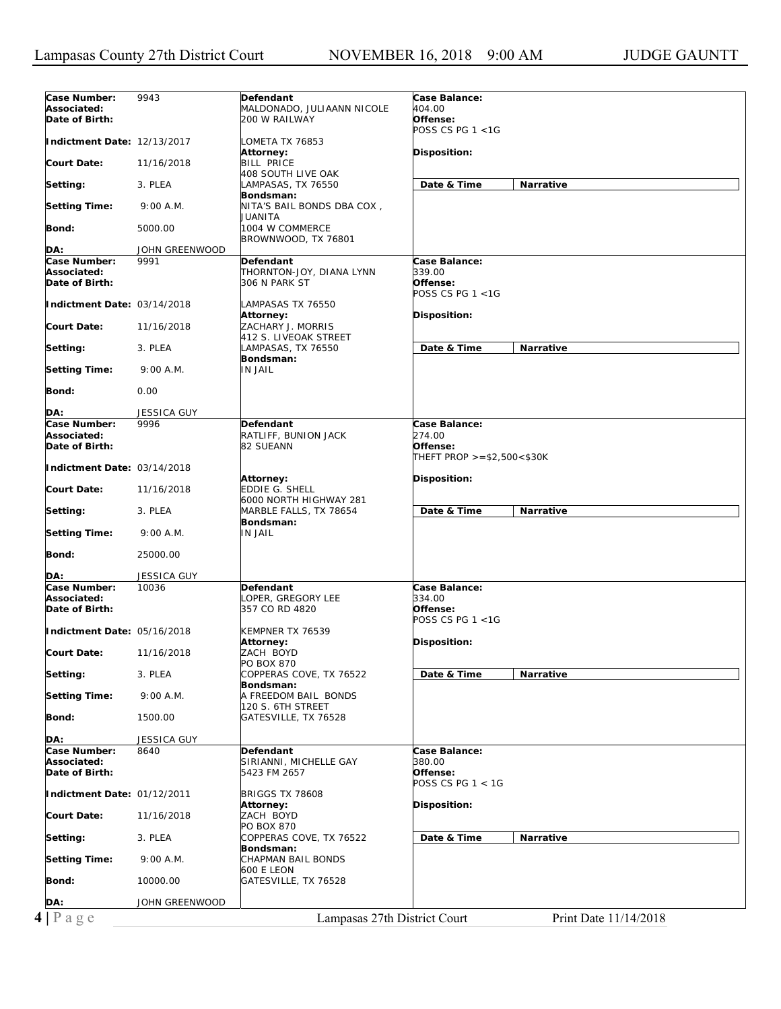| Associated:<br>MALDONADO, JULIAANN NICOLE<br>404.00<br>Date of Birth:<br>200 W RAILWAY<br>Offense:<br>POSS CS PG 1 <1G<br>Indictment Date: 12/13/2017<br>LOMETA TX 76853<br>Attorney:<br><b>Disposition:</b><br>Court Date:<br>11/16/2018<br><b>BILL PRICE</b><br>408 SOUTH LIVE OAK<br>LAMPASAS, TX 76550<br>Date & Time<br>Narrative<br>Setting:<br>3. PLEA<br>Bondsman:<br><b>Setting Time:</b><br>NITA'S BAIL BONDS DBA COX,<br>9:00 A.M.<br>JUANITA<br>Bond:<br>5000.00<br>1004 W COMMERCE<br>BROWNWOOD, TX 76801<br>DA:<br>JOHN GREENWOOD<br>Case Number:<br>9991<br>Case Balance:<br>Defendant<br>339.00<br>Associated:<br>THORNTON-JOY, DIANA LYNN<br>Date of Birth:<br>306 N PARK ST<br>Offense:<br>POSS CS PG $1 < 1G$<br>Indictment Date: 03/14/2018<br>LAMPASAS TX 76550<br>Attorney:<br>Disposition:<br><b>Court Date:</b><br>ZACHARY J. MORRIS<br>11/16/2018<br>412 S. LIVEOAK STREET<br>Date & Time<br><b>Narrative</b><br>Setting:<br>3. PLEA<br>LAMPASAS, TX 76550<br>Bondsman:<br><b>Setting Time:</b><br>9:00 A.M.<br><b>IN JAIL</b><br>Bond:<br>0.00<br>DA:<br><b>JESSICA GUY</b><br>Case Number:<br>9996<br>Case Balance:<br>Defendant<br>Associated:<br>RATLIFF, BUNION JACK<br>274.00<br>Date of Birth:<br>82 SUEANN<br>Offense:<br>THEFT PROP >=\$2,500<\$30K<br>Indictment Date: 03/14/2018<br><b>Disposition:</b><br><b>Attorney:</b><br>EDDIE G. SHELL<br><b>Court Date:</b><br>11/16/2018<br>6000 NORTH HIGHWAY 281<br>Date & Time<br>Setting:<br>3. PLEA<br>MARBLE FALLS, TX 78654<br>Narrative<br>Bondsman:<br><b>IN JAIL</b><br><b>Setting Time:</b><br>9:00 A.M.<br>Bond:<br>25000.00<br>JESSICA GUY<br>DA:<br>Case Number:<br>Case Balance:<br>10036<br>Defendant<br>334.00<br>Associated:<br>LOPER, GREGORY LEE<br>357 CO RD 4820<br>Offense:<br>Date of Birth:<br>POSS CS PG 1 <1G<br>Indictment Date: 05/16/2018<br>KEMPNER TX 76539<br>Attorney:<br>Disposition:<br><b>Court Date:</b><br>11/16/2018<br>ZACH BOYD<br>PO BOX 870<br>COPPERAS COVE, TX 76522<br>3. PLEA<br>Date & Time<br>Narrative<br>Setting:<br>Bondsman:<br><b>Setting Time:</b><br>A FREEDOM BAIL BONDS<br>9:00 A.M.<br>120 S. 6TH STREET<br>Bond:<br>1500.00<br>GATESVILLE, TX 76528<br>JESSICA GUY<br>DA:<br>Case Number:<br>Case Balance:<br>8640<br>Defendant<br>Associated:<br>380.00<br>SIRIANNI, MICHELLE GAY<br>Date of Birth:<br>5423 FM 2657<br>Offense:<br>POSS CS PG $1 < 1$ G<br><b>BRIGGS TX 78608</b><br>Indictment Date: 01/12/2011<br>Attorney:<br>Disposition:<br>ZACH BOYD<br><b>Court Date:</b><br>11/16/2018<br><b>PO BOX 870</b><br>COPPERAS COVE, TX 76522<br>Date & Time<br>Narrative<br>Setting:<br>3. PLEA<br>Bondsman:<br><b>Setting Time:</b><br>CHAPMAN BAIL BONDS<br>9:00 A.M.<br><b>600 E LEON</b><br>Bond:<br>10000.00<br>GATESVILLE, TX 76528<br>DA:<br>JOHN GREENWOOD |           | Lampasas 27th District Court | Print Date 11/14/2018 |
|-----------------------------------------------------------------------------------------------------------------------------------------------------------------------------------------------------------------------------------------------------------------------------------------------------------------------------------------------------------------------------------------------------------------------------------------------------------------------------------------------------------------------------------------------------------------------------------------------------------------------------------------------------------------------------------------------------------------------------------------------------------------------------------------------------------------------------------------------------------------------------------------------------------------------------------------------------------------------------------------------------------------------------------------------------------------------------------------------------------------------------------------------------------------------------------------------------------------------------------------------------------------------------------------------------------------------------------------------------------------------------------------------------------------------------------------------------------------------------------------------------------------------------------------------------------------------------------------------------------------------------------------------------------------------------------------------------------------------------------------------------------------------------------------------------------------------------------------------------------------------------------------------------------------------------------------------------------------------------------------------------------------------------------------------------------------------------------------------------------------------------------------------------------------------------------------------------------------------------------------------------------------------------------------------------------------------------------------------------------------------------------------------------------------------------------------------------------------------------------------------------------------------------------------------------------------------------------------------------------------------------------------------------------------------------------------------------------------------------------------------------------------------------------------------------------------|-----------|------------------------------|-----------------------|
|                                                                                                                                                                                                                                                                                                                                                                                                                                                                                                                                                                                                                                                                                                                                                                                                                                                                                                                                                                                                                                                                                                                                                                                                                                                                                                                                                                                                                                                                                                                                                                                                                                                                                                                                                                                                                                                                                                                                                                                                                                                                                                                                                                                                                                                                                                                                                                                                                                                                                                                                                                                                                                                                                                                                                                                                                 | $4 P$ age |                              |                       |
|                                                                                                                                                                                                                                                                                                                                                                                                                                                                                                                                                                                                                                                                                                                                                                                                                                                                                                                                                                                                                                                                                                                                                                                                                                                                                                                                                                                                                                                                                                                                                                                                                                                                                                                                                                                                                                                                                                                                                                                                                                                                                                                                                                                                                                                                                                                                                                                                                                                                                                                                                                                                                                                                                                                                                                                                                 |           |                              |                       |
|                                                                                                                                                                                                                                                                                                                                                                                                                                                                                                                                                                                                                                                                                                                                                                                                                                                                                                                                                                                                                                                                                                                                                                                                                                                                                                                                                                                                                                                                                                                                                                                                                                                                                                                                                                                                                                                                                                                                                                                                                                                                                                                                                                                                                                                                                                                                                                                                                                                                                                                                                                                                                                                                                                                                                                                                                 |           |                              |                       |
|                                                                                                                                                                                                                                                                                                                                                                                                                                                                                                                                                                                                                                                                                                                                                                                                                                                                                                                                                                                                                                                                                                                                                                                                                                                                                                                                                                                                                                                                                                                                                                                                                                                                                                                                                                                                                                                                                                                                                                                                                                                                                                                                                                                                                                                                                                                                                                                                                                                                                                                                                                                                                                                                                                                                                                                                                 |           |                              |                       |
|                                                                                                                                                                                                                                                                                                                                                                                                                                                                                                                                                                                                                                                                                                                                                                                                                                                                                                                                                                                                                                                                                                                                                                                                                                                                                                                                                                                                                                                                                                                                                                                                                                                                                                                                                                                                                                                                                                                                                                                                                                                                                                                                                                                                                                                                                                                                                                                                                                                                                                                                                                                                                                                                                                                                                                                                                 |           |                              |                       |
|                                                                                                                                                                                                                                                                                                                                                                                                                                                                                                                                                                                                                                                                                                                                                                                                                                                                                                                                                                                                                                                                                                                                                                                                                                                                                                                                                                                                                                                                                                                                                                                                                                                                                                                                                                                                                                                                                                                                                                                                                                                                                                                                                                                                                                                                                                                                                                                                                                                                                                                                                                                                                                                                                                                                                                                                                 |           |                              |                       |
|                                                                                                                                                                                                                                                                                                                                                                                                                                                                                                                                                                                                                                                                                                                                                                                                                                                                                                                                                                                                                                                                                                                                                                                                                                                                                                                                                                                                                                                                                                                                                                                                                                                                                                                                                                                                                                                                                                                                                                                                                                                                                                                                                                                                                                                                                                                                                                                                                                                                                                                                                                                                                                                                                                                                                                                                                 |           |                              |                       |
|                                                                                                                                                                                                                                                                                                                                                                                                                                                                                                                                                                                                                                                                                                                                                                                                                                                                                                                                                                                                                                                                                                                                                                                                                                                                                                                                                                                                                                                                                                                                                                                                                                                                                                                                                                                                                                                                                                                                                                                                                                                                                                                                                                                                                                                                                                                                                                                                                                                                                                                                                                                                                                                                                                                                                                                                                 |           |                              |                       |
|                                                                                                                                                                                                                                                                                                                                                                                                                                                                                                                                                                                                                                                                                                                                                                                                                                                                                                                                                                                                                                                                                                                                                                                                                                                                                                                                                                                                                                                                                                                                                                                                                                                                                                                                                                                                                                                                                                                                                                                                                                                                                                                                                                                                                                                                                                                                                                                                                                                                                                                                                                                                                                                                                                                                                                                                                 |           |                              |                       |
|                                                                                                                                                                                                                                                                                                                                                                                                                                                                                                                                                                                                                                                                                                                                                                                                                                                                                                                                                                                                                                                                                                                                                                                                                                                                                                                                                                                                                                                                                                                                                                                                                                                                                                                                                                                                                                                                                                                                                                                                                                                                                                                                                                                                                                                                                                                                                                                                                                                                                                                                                                                                                                                                                                                                                                                                                 |           |                              |                       |
|                                                                                                                                                                                                                                                                                                                                                                                                                                                                                                                                                                                                                                                                                                                                                                                                                                                                                                                                                                                                                                                                                                                                                                                                                                                                                                                                                                                                                                                                                                                                                                                                                                                                                                                                                                                                                                                                                                                                                                                                                                                                                                                                                                                                                                                                                                                                                                                                                                                                                                                                                                                                                                                                                                                                                                                                                 |           |                              |                       |
|                                                                                                                                                                                                                                                                                                                                                                                                                                                                                                                                                                                                                                                                                                                                                                                                                                                                                                                                                                                                                                                                                                                                                                                                                                                                                                                                                                                                                                                                                                                                                                                                                                                                                                                                                                                                                                                                                                                                                                                                                                                                                                                                                                                                                                                                                                                                                                                                                                                                                                                                                                                                                                                                                                                                                                                                                 |           |                              |                       |
|                                                                                                                                                                                                                                                                                                                                                                                                                                                                                                                                                                                                                                                                                                                                                                                                                                                                                                                                                                                                                                                                                                                                                                                                                                                                                                                                                                                                                                                                                                                                                                                                                                                                                                                                                                                                                                                                                                                                                                                                                                                                                                                                                                                                                                                                                                                                                                                                                                                                                                                                                                                                                                                                                                                                                                                                                 |           |                              |                       |
|                                                                                                                                                                                                                                                                                                                                                                                                                                                                                                                                                                                                                                                                                                                                                                                                                                                                                                                                                                                                                                                                                                                                                                                                                                                                                                                                                                                                                                                                                                                                                                                                                                                                                                                                                                                                                                                                                                                                                                                                                                                                                                                                                                                                                                                                                                                                                                                                                                                                                                                                                                                                                                                                                                                                                                                                                 |           |                              |                       |
|                                                                                                                                                                                                                                                                                                                                                                                                                                                                                                                                                                                                                                                                                                                                                                                                                                                                                                                                                                                                                                                                                                                                                                                                                                                                                                                                                                                                                                                                                                                                                                                                                                                                                                                                                                                                                                                                                                                                                                                                                                                                                                                                                                                                                                                                                                                                                                                                                                                                                                                                                                                                                                                                                                                                                                                                                 |           |                              |                       |
|                                                                                                                                                                                                                                                                                                                                                                                                                                                                                                                                                                                                                                                                                                                                                                                                                                                                                                                                                                                                                                                                                                                                                                                                                                                                                                                                                                                                                                                                                                                                                                                                                                                                                                                                                                                                                                                                                                                                                                                                                                                                                                                                                                                                                                                                                                                                                                                                                                                                                                                                                                                                                                                                                                                                                                                                                 |           |                              |                       |
|                                                                                                                                                                                                                                                                                                                                                                                                                                                                                                                                                                                                                                                                                                                                                                                                                                                                                                                                                                                                                                                                                                                                                                                                                                                                                                                                                                                                                                                                                                                                                                                                                                                                                                                                                                                                                                                                                                                                                                                                                                                                                                                                                                                                                                                                                                                                                                                                                                                                                                                                                                                                                                                                                                                                                                                                                 |           |                              |                       |
|                                                                                                                                                                                                                                                                                                                                                                                                                                                                                                                                                                                                                                                                                                                                                                                                                                                                                                                                                                                                                                                                                                                                                                                                                                                                                                                                                                                                                                                                                                                                                                                                                                                                                                                                                                                                                                                                                                                                                                                                                                                                                                                                                                                                                                                                                                                                                                                                                                                                                                                                                                                                                                                                                                                                                                                                                 |           |                              |                       |
|                                                                                                                                                                                                                                                                                                                                                                                                                                                                                                                                                                                                                                                                                                                                                                                                                                                                                                                                                                                                                                                                                                                                                                                                                                                                                                                                                                                                                                                                                                                                                                                                                                                                                                                                                                                                                                                                                                                                                                                                                                                                                                                                                                                                                                                                                                                                                                                                                                                                                                                                                                                                                                                                                                                                                                                                                 |           |                              |                       |
|                                                                                                                                                                                                                                                                                                                                                                                                                                                                                                                                                                                                                                                                                                                                                                                                                                                                                                                                                                                                                                                                                                                                                                                                                                                                                                                                                                                                                                                                                                                                                                                                                                                                                                                                                                                                                                                                                                                                                                                                                                                                                                                                                                                                                                                                                                                                                                                                                                                                                                                                                                                                                                                                                                                                                                                                                 |           |                              |                       |
|                                                                                                                                                                                                                                                                                                                                                                                                                                                                                                                                                                                                                                                                                                                                                                                                                                                                                                                                                                                                                                                                                                                                                                                                                                                                                                                                                                                                                                                                                                                                                                                                                                                                                                                                                                                                                                                                                                                                                                                                                                                                                                                                                                                                                                                                                                                                                                                                                                                                                                                                                                                                                                                                                                                                                                                                                 |           |                              |                       |
|                                                                                                                                                                                                                                                                                                                                                                                                                                                                                                                                                                                                                                                                                                                                                                                                                                                                                                                                                                                                                                                                                                                                                                                                                                                                                                                                                                                                                                                                                                                                                                                                                                                                                                                                                                                                                                                                                                                                                                                                                                                                                                                                                                                                                                                                                                                                                                                                                                                                                                                                                                                                                                                                                                                                                                                                                 |           |                              |                       |
|                                                                                                                                                                                                                                                                                                                                                                                                                                                                                                                                                                                                                                                                                                                                                                                                                                                                                                                                                                                                                                                                                                                                                                                                                                                                                                                                                                                                                                                                                                                                                                                                                                                                                                                                                                                                                                                                                                                                                                                                                                                                                                                                                                                                                                                                                                                                                                                                                                                                                                                                                                                                                                                                                                                                                                                                                 |           |                              |                       |
|                                                                                                                                                                                                                                                                                                                                                                                                                                                                                                                                                                                                                                                                                                                                                                                                                                                                                                                                                                                                                                                                                                                                                                                                                                                                                                                                                                                                                                                                                                                                                                                                                                                                                                                                                                                                                                                                                                                                                                                                                                                                                                                                                                                                                                                                                                                                                                                                                                                                                                                                                                                                                                                                                                                                                                                                                 |           |                              |                       |
|                                                                                                                                                                                                                                                                                                                                                                                                                                                                                                                                                                                                                                                                                                                                                                                                                                                                                                                                                                                                                                                                                                                                                                                                                                                                                                                                                                                                                                                                                                                                                                                                                                                                                                                                                                                                                                                                                                                                                                                                                                                                                                                                                                                                                                                                                                                                                                                                                                                                                                                                                                                                                                                                                                                                                                                                                 |           |                              |                       |
|                                                                                                                                                                                                                                                                                                                                                                                                                                                                                                                                                                                                                                                                                                                                                                                                                                                                                                                                                                                                                                                                                                                                                                                                                                                                                                                                                                                                                                                                                                                                                                                                                                                                                                                                                                                                                                                                                                                                                                                                                                                                                                                                                                                                                                                                                                                                                                                                                                                                                                                                                                                                                                                                                                                                                                                                                 |           |                              |                       |
|                                                                                                                                                                                                                                                                                                                                                                                                                                                                                                                                                                                                                                                                                                                                                                                                                                                                                                                                                                                                                                                                                                                                                                                                                                                                                                                                                                                                                                                                                                                                                                                                                                                                                                                                                                                                                                                                                                                                                                                                                                                                                                                                                                                                                                                                                                                                                                                                                                                                                                                                                                                                                                                                                                                                                                                                                 |           |                              |                       |
|                                                                                                                                                                                                                                                                                                                                                                                                                                                                                                                                                                                                                                                                                                                                                                                                                                                                                                                                                                                                                                                                                                                                                                                                                                                                                                                                                                                                                                                                                                                                                                                                                                                                                                                                                                                                                                                                                                                                                                                                                                                                                                                                                                                                                                                                                                                                                                                                                                                                                                                                                                                                                                                                                                                                                                                                                 |           |                              |                       |
|                                                                                                                                                                                                                                                                                                                                                                                                                                                                                                                                                                                                                                                                                                                                                                                                                                                                                                                                                                                                                                                                                                                                                                                                                                                                                                                                                                                                                                                                                                                                                                                                                                                                                                                                                                                                                                                                                                                                                                                                                                                                                                                                                                                                                                                                                                                                                                                                                                                                                                                                                                                                                                                                                                                                                                                                                 |           |                              |                       |
|                                                                                                                                                                                                                                                                                                                                                                                                                                                                                                                                                                                                                                                                                                                                                                                                                                                                                                                                                                                                                                                                                                                                                                                                                                                                                                                                                                                                                                                                                                                                                                                                                                                                                                                                                                                                                                                                                                                                                                                                                                                                                                                                                                                                                                                                                                                                                                                                                                                                                                                                                                                                                                                                                                                                                                                                                 |           |                              |                       |
|                                                                                                                                                                                                                                                                                                                                                                                                                                                                                                                                                                                                                                                                                                                                                                                                                                                                                                                                                                                                                                                                                                                                                                                                                                                                                                                                                                                                                                                                                                                                                                                                                                                                                                                                                                                                                                                                                                                                                                                                                                                                                                                                                                                                                                                                                                                                                                                                                                                                                                                                                                                                                                                                                                                                                                                                                 |           |                              |                       |
|                                                                                                                                                                                                                                                                                                                                                                                                                                                                                                                                                                                                                                                                                                                                                                                                                                                                                                                                                                                                                                                                                                                                                                                                                                                                                                                                                                                                                                                                                                                                                                                                                                                                                                                                                                                                                                                                                                                                                                                                                                                                                                                                                                                                                                                                                                                                                                                                                                                                                                                                                                                                                                                                                                                                                                                                                 |           |                              |                       |
|                                                                                                                                                                                                                                                                                                                                                                                                                                                                                                                                                                                                                                                                                                                                                                                                                                                                                                                                                                                                                                                                                                                                                                                                                                                                                                                                                                                                                                                                                                                                                                                                                                                                                                                                                                                                                                                                                                                                                                                                                                                                                                                                                                                                                                                                                                                                                                                                                                                                                                                                                                                                                                                                                                                                                                                                                 |           |                              |                       |
|                                                                                                                                                                                                                                                                                                                                                                                                                                                                                                                                                                                                                                                                                                                                                                                                                                                                                                                                                                                                                                                                                                                                                                                                                                                                                                                                                                                                                                                                                                                                                                                                                                                                                                                                                                                                                                                                                                                                                                                                                                                                                                                                                                                                                                                                                                                                                                                                                                                                                                                                                                                                                                                                                                                                                                                                                 |           |                              |                       |
|                                                                                                                                                                                                                                                                                                                                                                                                                                                                                                                                                                                                                                                                                                                                                                                                                                                                                                                                                                                                                                                                                                                                                                                                                                                                                                                                                                                                                                                                                                                                                                                                                                                                                                                                                                                                                                                                                                                                                                                                                                                                                                                                                                                                                                                                                                                                                                                                                                                                                                                                                                                                                                                                                                                                                                                                                 |           |                              |                       |
|                                                                                                                                                                                                                                                                                                                                                                                                                                                                                                                                                                                                                                                                                                                                                                                                                                                                                                                                                                                                                                                                                                                                                                                                                                                                                                                                                                                                                                                                                                                                                                                                                                                                                                                                                                                                                                                                                                                                                                                                                                                                                                                                                                                                                                                                                                                                                                                                                                                                                                                                                                                                                                                                                                                                                                                                                 |           |                              |                       |
| Case Number:<br>9943<br>Defendant<br>Case Balance:                                                                                                                                                                                                                                                                                                                                                                                                                                                                                                                                                                                                                                                                                                                                                                                                                                                                                                                                                                                                                                                                                                                                                                                                                                                                                                                                                                                                                                                                                                                                                                                                                                                                                                                                                                                                                                                                                                                                                                                                                                                                                                                                                                                                                                                                                                                                                                                                                                                                                                                                                                                                                                                                                                                                                              |           |                              |                       |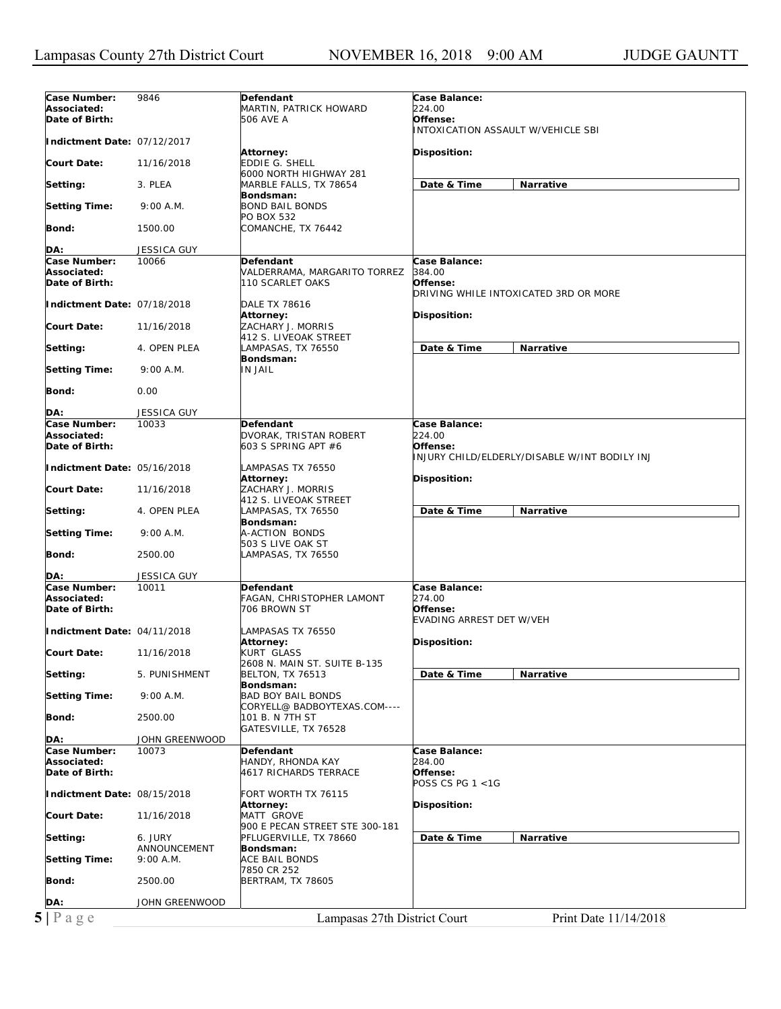| Case Number:<br>Associated:<br>Date of Birth: | 9846                    | Defendant<br>MARTIN, PATRICK HOWARD<br><b>506 AVE A</b>   | Case Balance:<br>224.00<br>Offense:<br>INTOXICATION ASSAULT W/VEHICLE SBI  |
|-----------------------------------------------|-------------------------|-----------------------------------------------------------|----------------------------------------------------------------------------|
| Indictment Date: 07/12/2017                   |                         |                                                           |                                                                            |
| <b>Court Date:</b>                            | 11/16/2018              | <b>Attorney:</b><br>EDDIE G. SHELL                        | Disposition:                                                               |
| Setting:                                      | 3. PLEA                 | 6000 NORTH HIGHWAY 281<br>MARBLE FALLS, TX 78654          | Date & Time<br>Narrative                                                   |
| <b>Setting Time:</b>                          | 9:00 A.M.               | Bondsman:<br><b>BOND BAIL BONDS</b>                       |                                                                            |
| Bond:                                         | 1500.00                 | <b>PO BOX 532</b><br>COMANCHE, TX 76442                   |                                                                            |
| DA:                                           | JESSICA GUY             |                                                           |                                                                            |
| Case Number:                                  | 10066                   | <b>Defendant</b>                                          | Case Balance:                                                              |
| Associated:<br>Date of Birth:                 |                         | VALDERRAMA, MARGARITO TORREZ<br>110 SCARLET OAKS          | 384.00<br>Offense:<br>DRIVING WHILE INTOXICATED 3RD OR MORE                |
| Indictment Date: 07/18/2018                   |                         | <b>DALE TX 78616</b><br><b>Attorney:</b>                  | Disposition:                                                               |
| <b>Court Date:</b>                            | 11/16/2018              | ZACHARY J. MORRIS<br>412 S. LIVEOAK STREET                |                                                                            |
| Setting:                                      | 4. OPEN PLEA            | LAMPASAS, TX 76550<br>Bondsman:                           | Date & Time<br>Narrative                                                   |
| <b>Setting Time:</b>                          | 9:00 A.M.               | <b>IN JAIL</b>                                            |                                                                            |
| Bond:                                         | 0.00                    |                                                           |                                                                            |
| DA:                                           | JESSICA GUY             |                                                           |                                                                            |
| Case Number:                                  | 10033                   | Defendant                                                 | Case Balance:                                                              |
| Associated:<br>Date of Birth:                 |                         | DVORAK, TRISTAN ROBERT<br>603 S SPRING APT #6             | 224.00<br><b>Offense:</b><br>INJURY CHILD/ELDERLY/DISABLE W/INT BODILY INJ |
| Indictment Date: 05/16/2018                   |                         | LAMPASAS TX 76550<br>Attorney:                            | Disposition:                                                               |
| <b>Court Date:</b>                            | 11/16/2018              | ZACHARY J. MORRIS<br>412 S. LIVEOAK STREET                |                                                                            |
| Setting:                                      | 4. OPEN PLEA            | LAMPASAS, TX 76550<br>Bondsman:                           | Date & Time<br>Narrative                                                   |
| <b>Setting Time:</b>                          | 9:00 A.M.               | A-ACTION BONDS<br>503 S LIVE OAK ST                       |                                                                            |
| Bond:                                         | 2500.00                 | LAMPASAS, TX 76550                                        |                                                                            |
| DA:                                           | JESSICA GUY             |                                                           |                                                                            |
| Case Number:<br>Associated:<br>Date of Birth: | 10011                   | Defendant<br>FAGAN, CHRISTOPHER LAMONT<br>706 BROWN ST    | Case Balance:<br>274.00<br>Offense:<br><b>EVADING ARREST DET W/VEH</b>     |
| Indictment Date: 04/11/2018                   |                         | LAMPASAS TX 76550<br><b>Attorney:</b>                     | Disposition:                                                               |
| <b>Court Date:</b>                            | 11/16/2018              | <b>KURT GLASS</b><br>2608 N. MAIN ST. SUITE B-135         |                                                                            |
| Setting:                                      | 5. PUNISHMENT           | <b>BELTON, TX 76513</b><br>Bondsman:                      | Date & Time<br>Narrative                                                   |
| <b>Setting Time:</b>                          | 9:00 A.M.               | <b>BAD BOY BAIL BONDS</b><br>CORYELL@ BADBOYTEXAS.COM---- |                                                                            |
| Bond:                                         | 2500.00                 | 101 B. N 7TH ST<br>GATESVILLE, TX 76528                   |                                                                            |
| DA:                                           | JOHN GREENWOOD          |                                                           |                                                                            |
| Case Number:<br>Associated:<br>Date of Birth: | 10073                   | Defendant<br>HANDY, RHONDA KAY<br>4617 RICHARDS TERRACE   | Case Balance:<br>284.00<br>Offense:                                        |
| Indictment Date: 08/15/2018                   |                         | FORT WORTH TX 76115<br>Attorney:                          | POSS CS PG 1 <1G<br><b>Disposition:</b>                                    |
| <b>Court Date:</b>                            | 11/16/2018              | MATT GROVE<br>900 E PECAN STREET STE 300-181              |                                                                            |
| Setting:                                      | 6. JURY<br>ANNOUNCEMENT | PFLUGERVILLE, TX 78660<br>Bondsman:                       | Date & Time<br>Narrative                                                   |
| <b>Setting Time:</b>                          | 9:00 A.M.               | ACE BAIL BONDS<br>7850 CR 252                             |                                                                            |
| Bond:                                         | 2500.00                 | <b>BERTRAM, TX 78605</b>                                  |                                                                            |
| DA:                                           | JOHN GREENWOOD          |                                                           |                                                                            |
| 5 Page                                        |                         | Lampasas 27th District Court                              | Print Date 11/14/2018                                                      |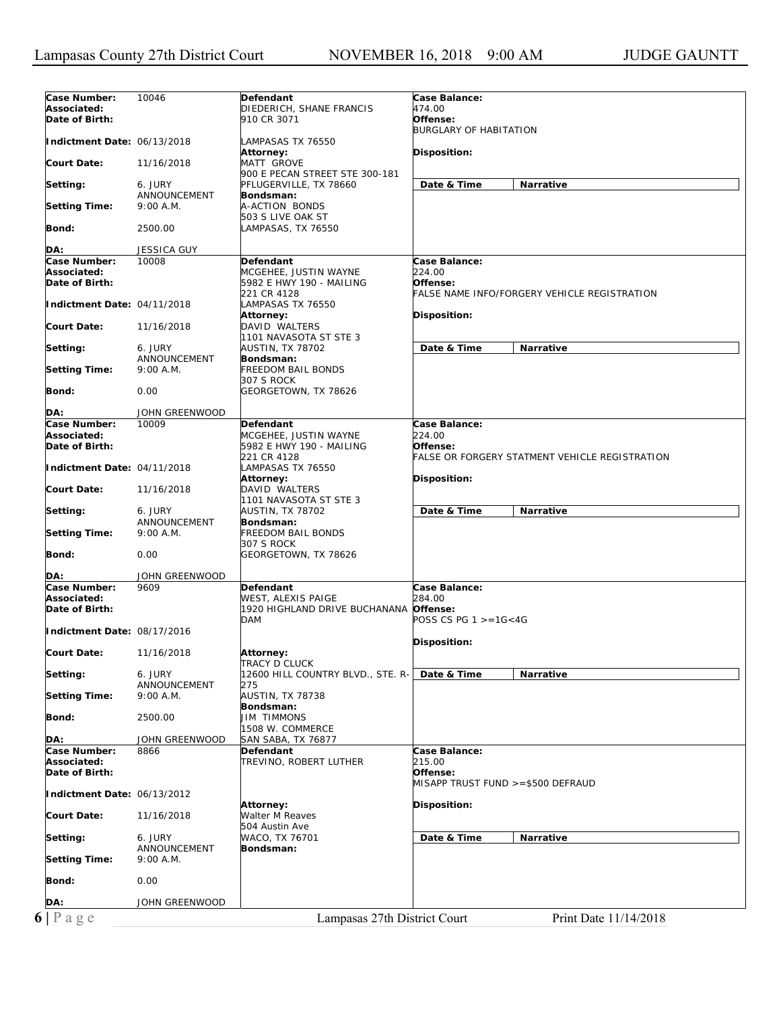| Case Number:<br>Associated:<br>Date of Birth:<br>Indictment Date: 06/13/2018<br>Court Date:<br>Setting: | 10046              |                                        |                                                |
|---------------------------------------------------------------------------------------------------------|--------------------|----------------------------------------|------------------------------------------------|
|                                                                                                         |                    | <b>Defendant</b>                       | Case Balance:                                  |
|                                                                                                         |                    | DIEDERICH, SHANE FRANCIS               | 474.00                                         |
|                                                                                                         |                    | 910 CR 3071                            | Offense:                                       |
|                                                                                                         |                    |                                        | <b>BURGLARY OF HABITATION</b>                  |
|                                                                                                         |                    | LAMPASAS TX 76550                      |                                                |
|                                                                                                         |                    |                                        |                                                |
|                                                                                                         |                    | Attorney:                              | Disposition:                                   |
|                                                                                                         | 11/16/2018         | MATT GROVE                             |                                                |
|                                                                                                         |                    | 900 E PECAN STREET STE 300-181         |                                                |
|                                                                                                         | 6. JURY            | PFLUGERVILLE, TX 78660                 | Date & Time<br>Narrative                       |
|                                                                                                         | ANNOUNCEMENT       | Bondsman:                              |                                                |
|                                                                                                         |                    |                                        |                                                |
| <b>Setting Time:</b>                                                                                    | 9:00 A.M.          | A-ACTION BONDS                         |                                                |
|                                                                                                         |                    | 503 S LIVE OAK ST                      |                                                |
| Bond:                                                                                                   | 2500.00            | LAMPASAS, TX 76550                     |                                                |
|                                                                                                         |                    |                                        |                                                |
| DA:                                                                                                     | <b>JESSICA GUY</b> |                                        |                                                |
|                                                                                                         |                    | <b>Defendant</b>                       |                                                |
| Case Number:                                                                                            | 10008              |                                        | Case Balance:                                  |
| Associated:                                                                                             |                    | MCGEHEE, JUSTIN WAYNE                  | 224.00                                         |
| Date of Birth:                                                                                          |                    | 5982 E HWY 190 - MAILING               | Offense:                                       |
|                                                                                                         |                    | 221 CR 4128                            | FALSE NAME INFO/FORGERY VEHICLE REGISTRATION   |
| Indictment Date: 04/11/2018                                                                             |                    | LAMPASAS TX 76550                      |                                                |
|                                                                                                         |                    | Attorney:                              | Disposition:                                   |
|                                                                                                         |                    |                                        |                                                |
| Court Date:                                                                                             | 11/16/2018         | DAVID WALTERS                          |                                                |
|                                                                                                         |                    | 1101 NAVASOTA ST STE 3                 |                                                |
| Setting:                                                                                                | 6. JURY            | AUSTIN, TX 78702                       | Date & Time<br><b>Narrative</b>                |
|                                                                                                         | ANNOUNCEMENT       | Bondsman:                              |                                                |
| <b>Setting Time:</b>                                                                                    | 9:00 A.M.          | <b>FREEDOM BAIL BONDS</b>              |                                                |
|                                                                                                         |                    | 307 S ROCK                             |                                                |
|                                                                                                         |                    |                                        |                                                |
| <b>Bond:</b>                                                                                            | 0.00               | GEORGETOWN, TX 78626                   |                                                |
|                                                                                                         |                    |                                        |                                                |
| DA:                                                                                                     | JOHN GREENWOOD     |                                        |                                                |
| Case Number:                                                                                            | 10009              | Defendant                              | Case Balance:                                  |
| Associated:                                                                                             |                    | MCGEHEE, JUSTIN WAYNE                  | 224.00                                         |
|                                                                                                         |                    |                                        |                                                |
| Date of Birth:                                                                                          |                    | 5982 E HWY 190 - MAILING               | Offense:                                       |
|                                                                                                         |                    | 221 CR 4128                            | FALSE OR FORGERY STATMENT VEHICLE REGISTRATION |
| Indictment Date: 04/11/2018                                                                             |                    | LAMPASAS TX 76550                      |                                                |
|                                                                                                         |                    | Attorney:                              | <b>Disposition:</b>                            |
| Court Date:                                                                                             | 11/16/2018         | DAVID WALTERS                          |                                                |
|                                                                                                         |                    | 1101 NAVASOTA ST STE 3                 |                                                |
|                                                                                                         |                    |                                        |                                                |
| Setting:                                                                                                | 6. JURY            | AUSTIN, TX 78702                       | Date & Time<br>Narrative                       |
|                                                                                                         | ANNOUNCEMENT       | Bondsman:                              |                                                |
| <b>Setting Time:</b>                                                                                    | 9:00 A.M.          | FREEDOM BAIL BONDS                     |                                                |
|                                                                                                         |                    | 307 S ROCK                             |                                                |
| Bond:                                                                                                   | 0.00               | GEORGETOWN, TX 78626                   |                                                |
|                                                                                                         |                    |                                        |                                                |
|                                                                                                         |                    |                                        |                                                |
| DA:                                                                                                     | JOHN GREENWOOD     |                                        |                                                |
| Case Number:                                                                                            | 9609               | Defendant                              | Case Balance:                                  |
| Associated:                                                                                             |                    | WEST, ALEXIS PAIGE                     | <i>284.00</i>                                  |
|                                                                                                         |                    | 1920 HIGHLAND DRIVE BUCHANANA Offense: |                                                |
|                                                                                                         |                    | DAM                                    | POSS CS PG $1 > = 16 < 4G$                     |
| Date of Birth:                                                                                          |                    |                                        |                                                |
|                                                                                                         |                    |                                        |                                                |
| Indictment Date: 08/17/2016                                                                             |                    |                                        |                                                |
|                                                                                                         |                    |                                        | Disposition:                                   |
| <b>Court Date:</b>                                                                                      | 11/16/2018         | Attorney:                              |                                                |
|                                                                                                         |                    |                                        |                                                |
|                                                                                                         |                    | TRACY D CLUCK                          |                                                |
| Setting:                                                                                                | 6. JURY            | 12600 HILL COUNTRY BLVD., STE. R-      | Date & Time<br>Narrative                       |
|                                                                                                         | ANNOUNCEMENT       | 275                                    |                                                |
| <b>Setting Time:</b>                                                                                    | 9:00 A.M.          | <b>AUSTIN, TX 78738</b>                |                                                |
|                                                                                                         |                    | Bondsman:                              |                                                |
| Bond:                                                                                                   |                    | <b>JIM TIMMONS</b>                     |                                                |
|                                                                                                         | 2500.00            |                                        |                                                |
|                                                                                                         |                    | 1508 W. COMMERCE                       |                                                |
| DA:                                                                                                     | JOHN GREENWOOD     | <b>SAN SABA, TX 76877</b>              |                                                |
| Case Number:                                                                                            | 8866               | Defendant                              | Case Balance:                                  |
| Associated:                                                                                             |                    | TREVINO, ROBERT LUTHER                 | 215.00                                         |
| Date of Birth:                                                                                          |                    |                                        | Offense:                                       |
|                                                                                                         |                    |                                        |                                                |
|                                                                                                         |                    |                                        | MISAPP TRUST FUND >=\$500 DEFRAUD              |
| Indictment Date: 06/13/2012                                                                             |                    |                                        |                                                |
|                                                                                                         |                    | Attorney:                              | Disposition:                                   |
| Court Date:                                                                                             | 11/16/2018         | Walter M Reaves                        |                                                |
|                                                                                                         |                    | 504 Austin Ave                         |                                                |
|                                                                                                         |                    |                                        |                                                |
| Setting:                                                                                                | 6. JURY            | WACO, TX 76701                         | Date & Time<br>Narrative                       |
|                                                                                                         | ANNOUNCEMENT       | Bondsman:                              |                                                |
| <b>Setting Time:</b>                                                                                    | 9:00 A.M.          |                                        |                                                |
|                                                                                                         |                    |                                        |                                                |
| <b>Bond:</b>                                                                                            | 0.00               |                                        |                                                |
|                                                                                                         |                    |                                        |                                                |
| DA:                                                                                                     | JOHN GREENWOOD     |                                        |                                                |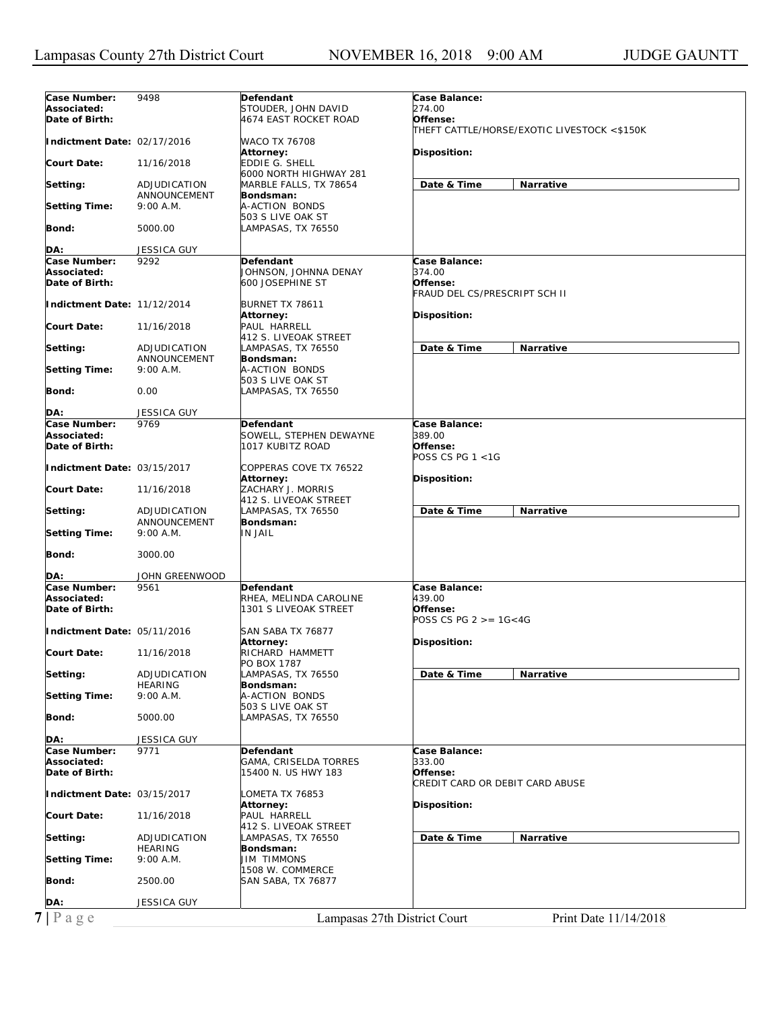| Case Number:                      | 9498               | Defendant                    | Case Balance:                               |  |
|-----------------------------------|--------------------|------------------------------|---------------------------------------------|--|
| Associated:                       |                    |                              | 274.00                                      |  |
|                                   |                    | STOUDER, JOHN DAVID          |                                             |  |
| Date of Birth:                    |                    | 4674 EAST ROCKET ROAD        | Offense:                                    |  |
|                                   |                    |                              | THEFT CATTLE/HORSE/EXOTIC LIVESTOCK <\$150K |  |
| Indictment Date: 02/17/2016       |                    | WACO TX 76708                |                                             |  |
|                                   |                    |                              |                                             |  |
|                                   |                    | Attorney:                    | Disposition:                                |  |
| <b>Court Date:</b>                | 11/16/2018         | EDDIE G. SHELL               |                                             |  |
|                                   |                    | 6000 NORTH HIGHWAY 281       |                                             |  |
| Setting:                          | ADJUDICATION       | MARBLE FALLS, TX 78654       | Date & Time<br>Narrative                    |  |
|                                   |                    |                              |                                             |  |
|                                   | ANNOUNCEMENT       | Bondsman:                    |                                             |  |
| <b>Setting Time:</b>              | 9:00 A.M.          | A-ACTION BONDS               |                                             |  |
|                                   |                    | 503 S LIVE OAK ST            |                                             |  |
| Bond:                             | 5000.00            | LAMPASAS, TX 76550           |                                             |  |
|                                   |                    |                              |                                             |  |
|                                   |                    |                              |                                             |  |
| DA:                               | JESSICA GUY        |                              |                                             |  |
| Case Number:                      | 9292               | <b>Defendant</b>             | Case Balance:                               |  |
| Associated:                       |                    | JOHNSON, JOHNNA DENAY        | 374.00                                      |  |
| Date of Birth:                    |                    |                              |                                             |  |
|                                   |                    | 600 JOSEPHINE ST             | Offense:                                    |  |
|                                   |                    |                              | FRAUD DEL CS/PRESCRIPT SCH II               |  |
| Indictment Date: 11/12/2014       |                    | BURNET TX 78611              |                                             |  |
|                                   |                    | Attorney:                    | Disposition:                                |  |
|                                   |                    |                              |                                             |  |
| <b>Court Date:</b>                | 11/16/2018         | PAUL HARRELL                 |                                             |  |
|                                   |                    | 412 S. LIVEOAK STREET        |                                             |  |
| Setting:                          | ADJUDICATION       | LAMPASAS, TX 76550           | Date & Time<br>Narrative                    |  |
|                                   |                    |                              |                                             |  |
|                                   | ANNOUNCEMENT       | Bondsman:                    |                                             |  |
| <b>Setting Time:</b>              | 9:00 A.M.          | A-ACTION BONDS               |                                             |  |
|                                   |                    | 503 S LIVE OAK ST            |                                             |  |
| Bond:                             | 0.00               | LAMPASAS, TX 76550           |                                             |  |
|                                   |                    |                              |                                             |  |
|                                   |                    |                              |                                             |  |
| DA:                               | <b>JESSICA GUY</b> |                              |                                             |  |
| Case Number:                      | 9769               | Defendant                    | Case Balance:                               |  |
|                                   |                    |                              |                                             |  |
| Associated:                       |                    | SOWELL, STEPHEN DEWAYNE      | 389.00                                      |  |
| Date of Birth:                    |                    | 1017 KUBITZ ROAD             | Offense:                                    |  |
|                                   |                    |                              | POSS CS PG $1 < 1G$                         |  |
| Indictment Date: 03/15/2017       |                    | COPPERAS COVE TX 76522       |                                             |  |
|                                   |                    |                              |                                             |  |
|                                   |                    | Attorney:                    | Disposition:                                |  |
| <b>Court Date:</b>                | 11/16/2018         | ZACHARY J. MORRIS            |                                             |  |
|                                   |                    | 412 S. LIVEOAK STREET        |                                             |  |
|                                   |                    |                              | Date & Time<br><b>Narrative</b>             |  |
| Setting:                          | ADJUDICATION       | LAMPASAS, TX 76550           |                                             |  |
|                                   | ANNOUNCEMENT       | Bondsman:                    |                                             |  |
| <b>Setting Time:</b>              | 9:00 A.M.          | <b>IN JAIL</b>               |                                             |  |
|                                   |                    |                              |                                             |  |
|                                   |                    |                              |                                             |  |
| Bond:                             | 3000.00            |                              |                                             |  |
|                                   |                    |                              |                                             |  |
|                                   |                    |                              |                                             |  |
|                                   |                    |                              |                                             |  |
|                                   | JOHN GREENWOOD     |                              |                                             |  |
| DA:<br>Case Number:               | 9561               | <b>Defendant</b>             | Case Balance:                               |  |
| Associated:                       |                    | RHEA, MELINDA CAROLINE       | 439.00                                      |  |
| Date of Birth:                    |                    | 1301 S LIVEOAK STREET        | Offense:                                    |  |
|                                   |                    |                              |                                             |  |
|                                   |                    |                              | POSS CS PG $2 > = 1G < 4G$                  |  |
| Indictment Date: 05/11/2016       |                    | SAN SABA TX 76877            |                                             |  |
|                                   |                    | Attorney:                    | Disposition:                                |  |
| <b>Court Date:</b>                | 11/16/2018         | RICHARD HAMMETT              |                                             |  |
|                                   |                    |                              |                                             |  |
|                                   |                    | PO BOX 1787                  |                                             |  |
| Setting:                          | ADJUDICATION       | AMPASAS, TX 76550            | Date & Time<br>Narrative                    |  |
|                                   | <b>HEARING</b>     | Bondsman:                    |                                             |  |
|                                   |                    |                              |                                             |  |
|                                   | 9:00 A.M.          | A-ACTION BONDS               |                                             |  |
| <b>Setting Time:</b>              |                    | 503 S LIVE OAK ST            |                                             |  |
| Bond:                             | 5000.00            | LAMPASAS, TX 76550           |                                             |  |
|                                   |                    |                              |                                             |  |
|                                   |                    |                              |                                             |  |
| DA:                               | <b>JESSICA GUY</b> |                              |                                             |  |
| Case Number:                      | 9771               | Defendant                    | Case Balance:                               |  |
| Associated:                       |                    | GAMA, CRISELDA TORRES        | 333.00                                      |  |
| Date of Birth:                    |                    | 15400 N. US HWY 183          | Offense:                                    |  |
|                                   |                    |                              |                                             |  |
|                                   |                    |                              | CREDIT CARD OR DEBIT CARD ABUSE             |  |
| Indictment Date: 03/15/2017       |                    | LOMETA TX 76853              |                                             |  |
|                                   |                    | Attorney:                    | Disposition:                                |  |
|                                   | 11/16/2018         |                              |                                             |  |
|                                   |                    | PAUL HARRELL                 |                                             |  |
|                                   |                    | 412 S. LIVEOAK STREET        |                                             |  |
| <b>Court Date:</b><br>Setting:    | ADJUDICATION       | LAMPASAS, TX 76550           | Date & Time<br>Narrative                    |  |
|                                   | <b>HEARING</b>     | Bondsman:                    |                                             |  |
|                                   |                    | JIM TIMMONS                  |                                             |  |
| <b>Setting Time:</b>              | 9:00 A.M.          |                              |                                             |  |
|                                   |                    | 1508 W. COMMERCE             |                                             |  |
| Bond:                             | 2500.00            | SAN SABA, TX 76877           |                                             |  |
|                                   |                    |                              |                                             |  |
|                                   |                    |                              |                                             |  |
| DA:                               | JESSICA GUY        |                              |                                             |  |
| $7 \mid P \text{ a } g \text{ e}$ |                    | Lampasas 27th District Court | Print Date 11/14/2018                       |  |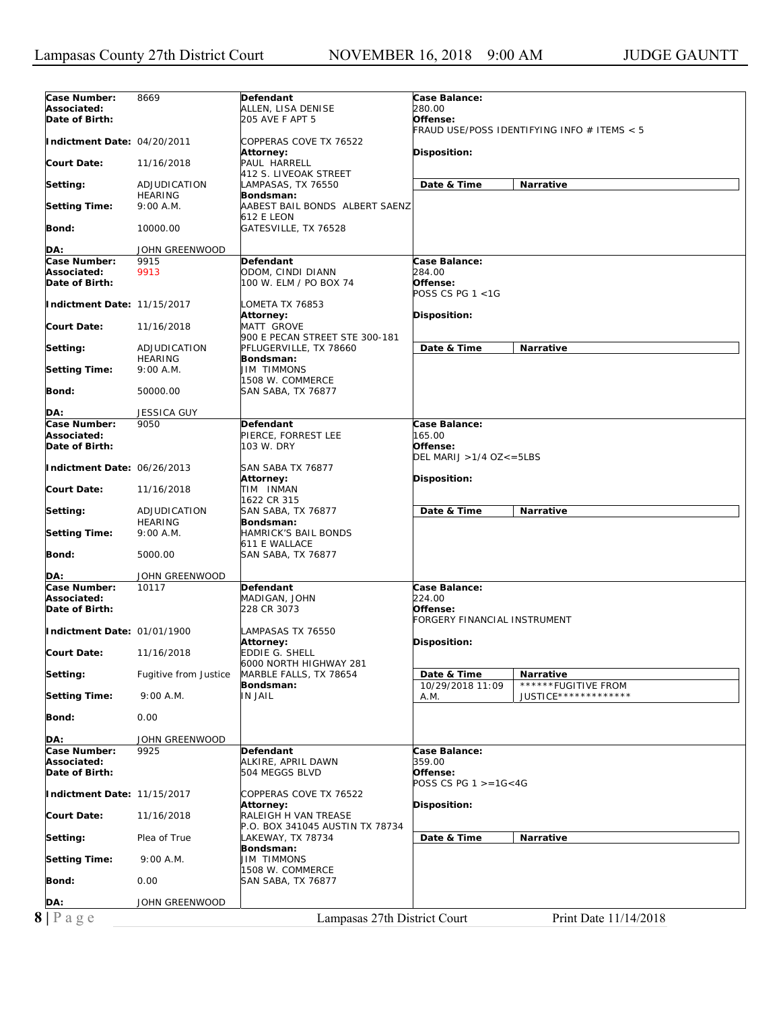| Case Number:                | 8669                  | Defendant                       | <b>Case Balance:</b>                        |
|-----------------------------|-----------------------|---------------------------------|---------------------------------------------|
| Associated:                 |                       | ALLEN, LISA DENISE              | <i>280.00</i>                               |
| Date of Birth:              |                       | 205 AVE F APT 5                 | Offense:                                    |
|                             |                       |                                 | FRAUD USE/POSS IDENTIFYING INFO # ITEMS < 5 |
| Indictment Date: 04/20/2011 |                       | COPPERAS COVE TX 76522          |                                             |
|                             |                       |                                 |                                             |
|                             |                       | Attorney:                       | Disposition:                                |
| <b>Court Date:</b>          | 11/16/2018            | PAUL HARRELL                    |                                             |
|                             |                       | 412 S. LIVEOAK STREET           |                                             |
| Setting:                    | ADJUDICATION          | LAMPASAS, TX 76550              | Date & Time<br>Narrative                    |
|                             | HEARING               | Bondsman:                       |                                             |
| <b>Setting Time:</b>        | 9:00 A.M.             | AABEST BAIL BONDS ALBERT SAENZ  |                                             |
|                             |                       | <b>612 E LEON</b>               |                                             |
| Bond:                       | 10000.00              | GATESVILLE, TX 76528            |                                             |
|                             |                       |                                 |                                             |
| DA:                         | JOHN GREENWOOD        |                                 |                                             |
| Case Number:                | 9915                  | Defendant                       | Case Balance:                               |
|                             |                       |                                 | 284.00                                      |
| Associated:                 | 9913                  | ODOM, CINDI DIANN               |                                             |
| Date of Birth:              |                       | 100 W. ELM / PO BOX 74          | Offense:                                    |
|                             |                       |                                 | POSS CS PG $1 < 1G$                         |
| Indictment Date: 11/15/2017 |                       | LOMETA TX 76853                 |                                             |
|                             |                       | Attorney:                       | Disposition:                                |
| <b>Court Date:</b>          | 11/16/2018            | MATT GROVE                      |                                             |
|                             |                       | 900 E PECAN STREET STE 300-181  |                                             |
| Setting:                    | ADJUDICATION          | PFLUGERVILLE, TX 78660          | Date & Time<br>Narrative                    |
|                             | <b>HEARING</b>        | Bondsman:                       |                                             |
| <b>Setting Time:</b>        | 9:00 A.M.             | JIM TIMMONS                     |                                             |
|                             |                       | 1508 W. COMMERCE                |                                             |
| Bond:                       | 50000.00              |                                 |                                             |
|                             |                       | SAN SABA, TX 76877              |                                             |
|                             |                       |                                 |                                             |
| DA:                         | <b>JESSICA GUY</b>    |                                 |                                             |
| Case Number:                | 9050                  | Defendant                       | Case Balance:                               |
| Associated:                 |                       | PIERCE, FORREST LEE             | 165.00                                      |
| Date of Birth:              |                       | 103 W. DRY                      | Offense:                                    |
|                             |                       |                                 | DEL MARIJ > $1/4$ OZ <= 5LBS                |
| Indictment Date: 06/26/2013 |                       | SAN SABA TX 76877               |                                             |
|                             |                       | Attorney:                       | Disposition:                                |
| <b>Court Date:</b>          | 11/16/2018            | TIM INMAN                       |                                             |
|                             |                       | 1622 CR 315                     |                                             |
| Setting:                    | ADJUDICATION          | SAN SABA, TX 76877              | Date & Time<br>Narrative                    |
|                             | <b>HEARING</b>        |                                 |                                             |
|                             |                       | Bondsman:                       |                                             |
| <b>Setting Time:</b>        | 9:00 A.M.             | HAMRICK'S BAIL BONDS            |                                             |
|                             |                       | 611 E WALLACE                   |                                             |
| Bond:                       | 5000.00               | SAN SABA, TX 76877              |                                             |
|                             |                       |                                 |                                             |
| DA:                         | JOHN GREENWOOD        |                                 |                                             |
| Case Number:                | 10117                 | Defendant                       | Case Balance:                               |
| Associated:                 |                       | MADIGAN, JOHN                   | 224.00                                      |
| Date of Birth:              |                       | 228 CR 3073                     | Offense:                                    |
|                             |                       |                                 | <b>FORGERY FINANCIAL INSTRUMENT</b>         |
| Indictment Date: 01/01/1900 |                       | LAMPASAS TX 76550               |                                             |
|                             |                       |                                 | Disposition:                                |
|                             |                       | Attorney:                       |                                             |
| <b>Court Date:</b>          | 11/16/2018            | EDDIE G. SHELL                  |                                             |
|                             |                       | 6000 NORTH HIGHWAY 281          |                                             |
| Setting:                    | Fugitive from Justice | MARBLE FALLS, TX 78654          | Date & Time<br>Narrative                    |
|                             |                       | Bondsman:                       | ******FUGITIVE FROM<br>10/29/2018 11:09     |
| <b>Setting Time:</b>        | 9:00 A.M.             | IN JAIL                         | JUSTICE **************<br>A.M.              |
|                             |                       |                                 |                                             |
| Bond:                       | 0.00                  |                                 |                                             |
|                             |                       |                                 |                                             |
| DA:                         | JOHN GREENWOOD        |                                 |                                             |
| Case Number:                | 9925                  | Defendant                       | Case Balance:                               |
| Associated:                 |                       | ALKIRE, APRIL DAWN              | 359.00                                      |
| Date of Birth:              |                       | 504 MEGGS BLVD                  | Offense:                                    |
|                             |                       |                                 | POSS CS PG $1 > = 16 < 4G$                  |
|                             |                       |                                 |                                             |
| Indictment Date: 11/15/2017 |                       | COPPERAS COVE TX 76522          |                                             |
|                             |                       | <b>Attorney:</b>                | Disposition:                                |
| <b>Court Date:</b>          | 11/16/2018            | RALEIGH H VAN TREASE            |                                             |
|                             |                       | P.O. BOX 341045 AUSTIN TX 78734 |                                             |
| Setting:                    | Plea of True          | LAKEWAY, TX 78734               | Date & Time<br>Narrative                    |
|                             |                       | Bondsman:                       |                                             |
| <b>Setting Time:</b>        | 9:00 A.M.             | JIM TIMMONS                     |                                             |
|                             |                       | 1508 W. COMMERCE                |                                             |
| Bond:                       | 0.00                  | SAN SABA, TX 76877              |                                             |
|                             |                       |                                 |                                             |
| DA:                         | JOHN GREENWOOD        |                                 |                                             |
|                             |                       |                                 |                                             |
| $8 P \text{ a } g e$        |                       | Lampasas 27th District Court    | Print Date 11/14/2018                       |
|                             |                       |                                 |                                             |